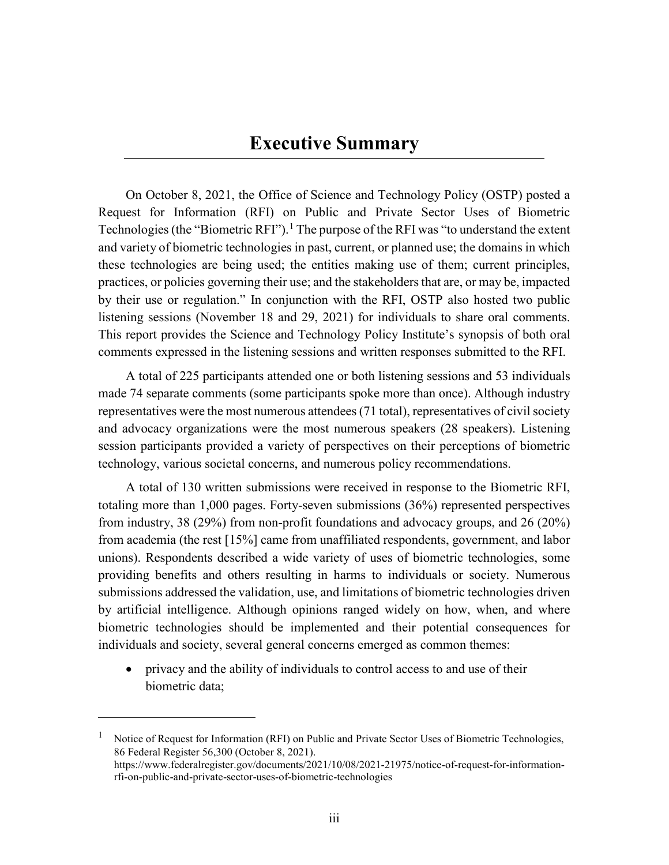

## SCIENCE & TECHNOLOGY POLICY INSTITUTE

# **Synopsis of Responses to OSTP's Request for Information on the Use and Governance of Biometric Technologies in the Public and Private Sectors**

Thomas D. Olszewski Lisa M. Van Pay Javier F. Ortiz Sarah E. Swiersz Laurie A. Dacus

March 2022

Approved for public release distribution is unlimited

IDA Document D-33070

Log: H 22-000168

IDA SCIENCE & TECHNOLOGY POLICY INSTITUTE 1701 Pennsylvania Ave., NW, Suite 500 Washington, DC 20006-5805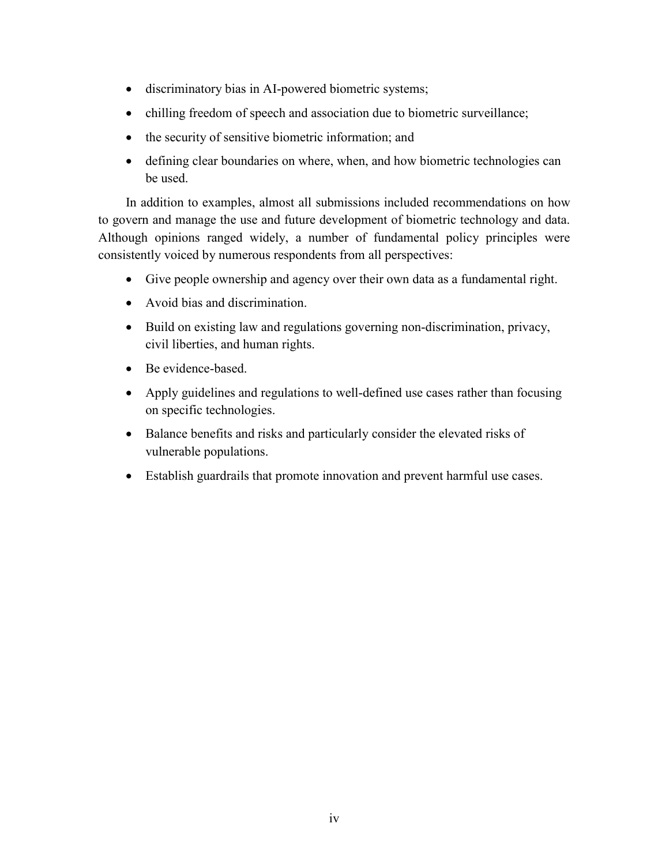

The Institute for Defense Analyses is a nonprofit corporation that operates three Federally Funded Research and Development Centers. Its mission is to answer the most challenging U.S. security and science policy questions with objective analysis, leveraging extraordinary scientific, technical, and analytic expertise.

## **About This Publication**

This work was conducted by the IDA Science and Technology Policy Institute (STPI) under contract NSFOIA-0408601, project TP-20-1005.DH, "Assessing Use and Governance of Biometric Technologies in the Public and Private Sectors," for the Office of Science and Technology Policy. The views, opinions, and findings should not be construed as representing the official positions of the National Science Foundation or the sponsoring agency.

### **For More Information**

Thomas D. Olszewski, Project Leader tolszews@ida.org, 202-419-5476

Kristen M. Kulinowski, Director, Science and Technology Policy Institute kkulinow@ida.org, 202-419-5491

## **Copyright Notice**

© 2022 Institute for Defense Analyses 730 East Glebe Road, Alexandria, Virginia 22305-3086 • (703) 845-2000.

This material may be reproduced by or for the U.S. Government pursuant to the copyright license under the clause at FAR 52.227-14 (May 2014).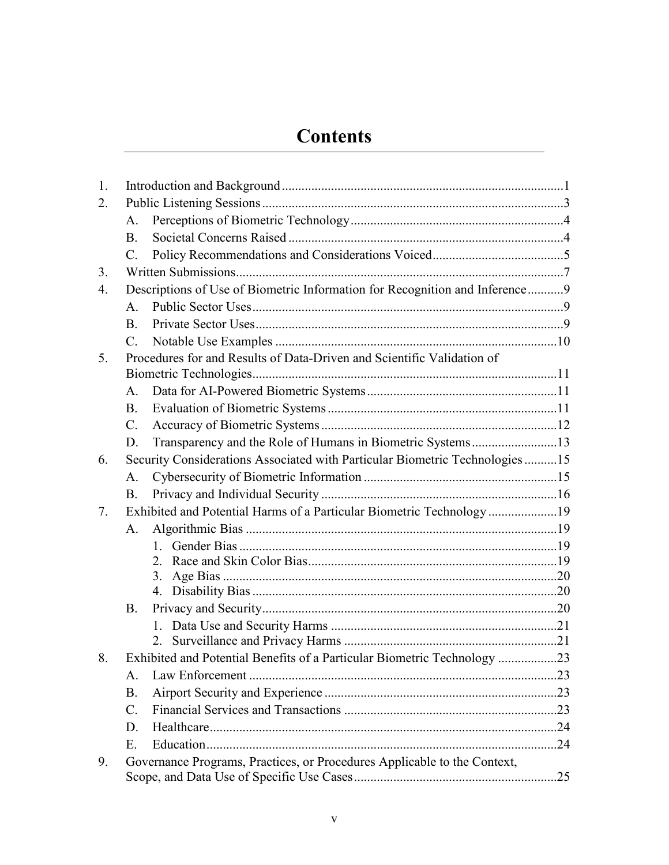SCIENCE & TECHNOLOGY POLICY INSTITUTE

IDA Document D-33070

# **Synopsis of Responses to OSTP's Request for Information on the Use and Governance of Biometric Technologies in the Public and Private Sectors**

Thomas D. Olszewski Lisa M. Van Pay Javier F. Ortiz Sarah E. Swiersz Laurie A. Dacus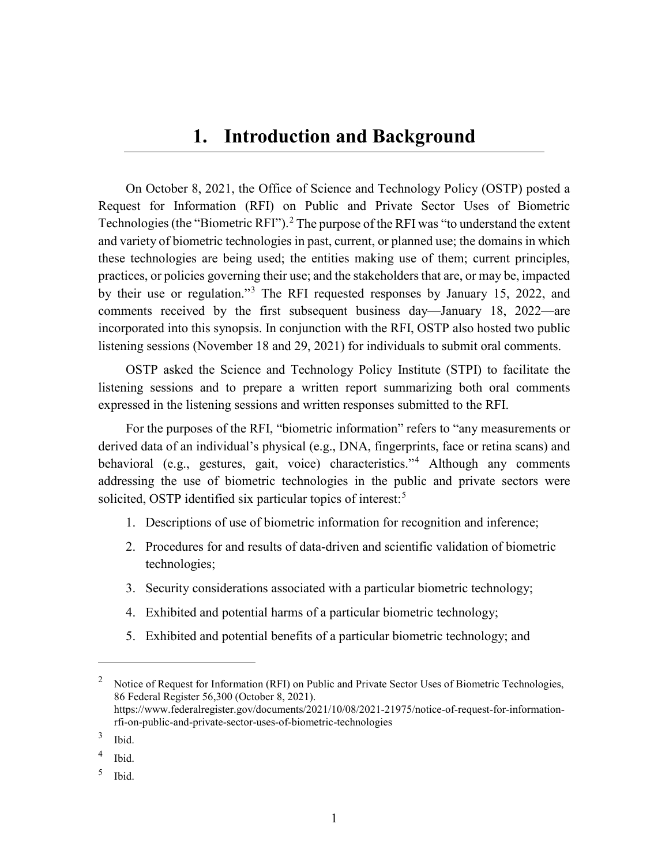## **Executive Summary**

On October 8, 2021, the Office of Science and Technology Policy (OSTP) posted a Request for Information (RFI) on Public and Private Sector Uses of Biometric Technologies (the "Biometric RFI").<sup>[1](#page-4-0)</sup> The purpose of the RFI was "to understand the extent and variety of biometric technologies in past, current, or planned use; the domains in which these technologies are being used; the entities making use of them; current principles, practices, or policies governing their use; and the stakeholders that are, or may be, impacted by their use or regulation." In conjunction with the RFI, OSTP also hosted two public listening sessions (November 18 and 29, 2021) for individuals to share oral comments. This report provides the Science and Technology Policy Institute's synopsis of both oral comments expressed in the listening sessions and written responses submitted to the RFI.

A total of 225 participants attended one or both listening sessions and 53 individuals made 74 separate comments (some participants spoke more than once). Although industry representatives were the most numerous attendees (71 total), representatives of civil society and advocacy organizations were the most numerous speakers (28 speakers). Listening session participants provided a variety of perspectives on their perceptions of biometric technology, various societal concerns, and numerous policy recommendations.

A total of 130 written submissions were received in response to the Biometric RFI, totaling more than 1,000 pages. Forty-seven submissions (36%) represented perspectives from industry, 38 (29%) from non-profit foundations and advocacy groups, and 26 (20%) from academia (the rest [15%] came from unaffiliated respondents, government, and labor unions). Respondents described a wide variety of uses of biometric technologies, some providing benefits and others resulting in harms to individuals or society. Numerous submissions addressed the validation, use, and limitations of biometric technologies driven by artificial intelligence. Although opinions ranged widely on how, when, and where biometric technologies should be implemented and their potential consequences for individuals and society, several general concerns emerged as common themes:

• privacy and the ability of individuals to control access to and use of their biometric data;

<span id="page-4-0"></span>Notice of Request for Information (RFI) on Public and Private Sector Uses of Biometric Technologies, 86 Federal Register 56,300 (October 8, 2021). https://www.federalregister.gov/documents/2021/10/08/2021-21975/notice-of-request-for-informationrfi-on-public-and-private-sector-uses-of-biometric-technologies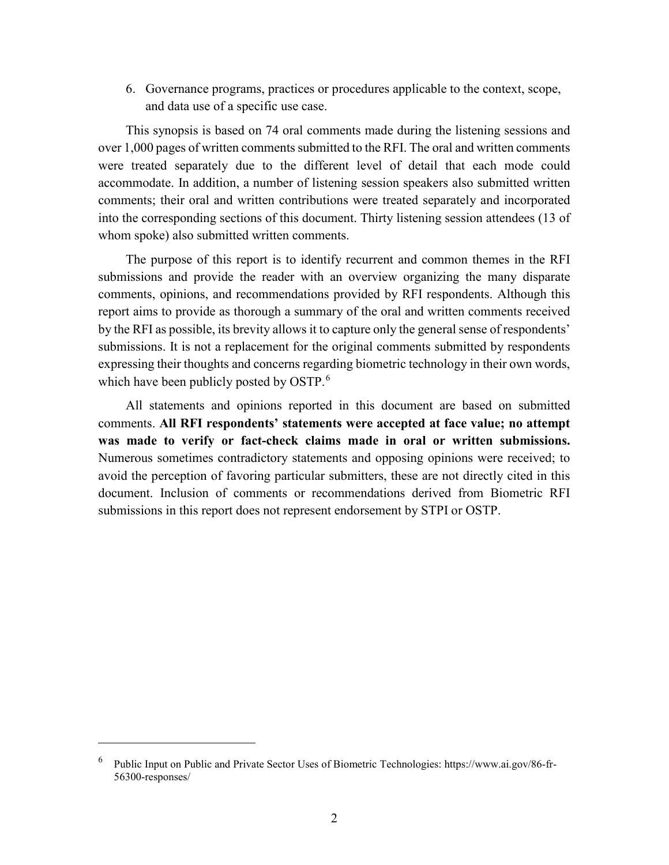- discriminatory bias in AI-powered biometric systems;
- chilling freedom of speech and association due to biometric surveillance;
- the security of sensitive biometric information; and
- defining clear boundaries on where, when, and how biometric technologies can be used.

In addition to examples, almost all submissions included recommendations on how to govern and manage the use and future development of biometric technology and data. Although opinions ranged widely, a number of fundamental policy principles were consistently voiced by numerous respondents from all perspectives:

- Give people ownership and agency over their own data as a fundamental right.
- Avoid bias and discrimination.
- Build on existing law and regulations governing non-discrimination, privacy, civil liberties, and human rights.
- Be evidence-based.
- Apply guidelines and regulations to well-defined use cases rather than focusing on specific technologies.
- Balance benefits and risks and particularly consider the elevated risks of vulnerable populations.
- Establish guardrails that promote innovation and prevent harmful use cases.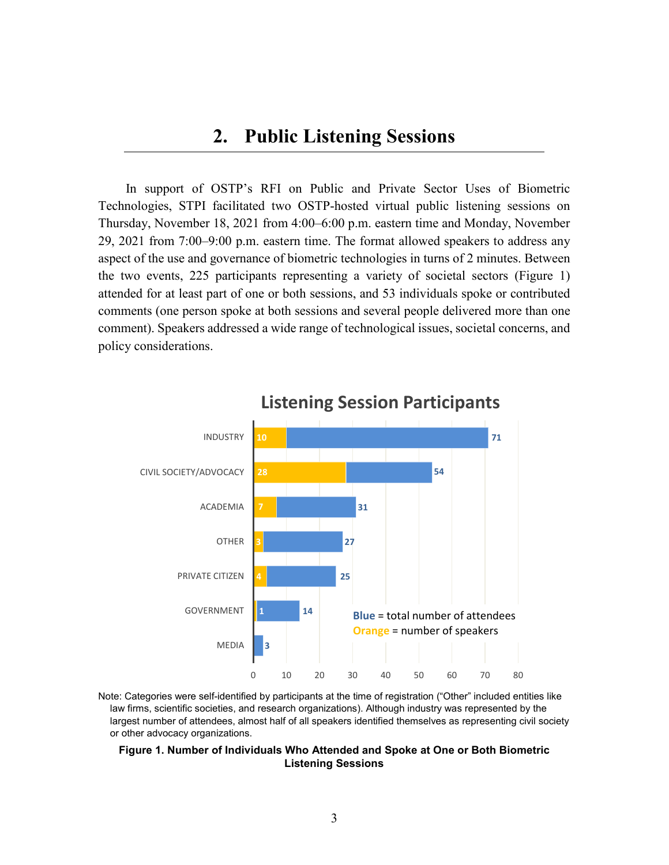# **Contents**

| 1.               |                                                                             |  |  |  |  |
|------------------|-----------------------------------------------------------------------------|--|--|--|--|
| 2.               |                                                                             |  |  |  |  |
|                  | A.                                                                          |  |  |  |  |
|                  | <b>B.</b>                                                                   |  |  |  |  |
|                  | $\mathcal{C}$ .                                                             |  |  |  |  |
| 3.               |                                                                             |  |  |  |  |
| $\overline{4}$ . | Descriptions of Use of Biometric Information for Recognition and Inference9 |  |  |  |  |
|                  | $A_{\cdot}$                                                                 |  |  |  |  |
|                  | <b>B.</b>                                                                   |  |  |  |  |
|                  | $\mathcal{C}$                                                               |  |  |  |  |
| 5.               | Procedures for and Results of Data-Driven and Scientific Validation of      |  |  |  |  |
|                  |                                                                             |  |  |  |  |
|                  | $\mathsf{A}$ .                                                              |  |  |  |  |
|                  | <b>B.</b>                                                                   |  |  |  |  |
|                  | C.                                                                          |  |  |  |  |
|                  | Transparency and the Role of Humans in Biometric Systems13<br>D.            |  |  |  |  |
| 6.               | Security Considerations Associated with Particular Biometric Technologies15 |  |  |  |  |
|                  | A.                                                                          |  |  |  |  |
|                  | Β.                                                                          |  |  |  |  |
| 7.               | Exhibited and Potential Harms of a Particular Biometric Technology19        |  |  |  |  |
|                  | A.                                                                          |  |  |  |  |
|                  |                                                                             |  |  |  |  |
|                  | $2_{1}$                                                                     |  |  |  |  |
|                  | 3.                                                                          |  |  |  |  |
|                  | <b>B.</b>                                                                   |  |  |  |  |
|                  |                                                                             |  |  |  |  |
|                  | 2.                                                                          |  |  |  |  |
| 8.               | Exhibited and Potential Benefits of a Particular Biometric Technology 23    |  |  |  |  |
|                  | A.                                                                          |  |  |  |  |
|                  | <b>B.</b>                                                                   |  |  |  |  |
|                  | $C$ .                                                                       |  |  |  |  |
|                  | D.                                                                          |  |  |  |  |
|                  | $E_{\rm c}$                                                                 |  |  |  |  |
| 9.               | Governance Programs, Practices, or Procedures Applicable to the Context,    |  |  |  |  |
|                  |                                                                             |  |  |  |  |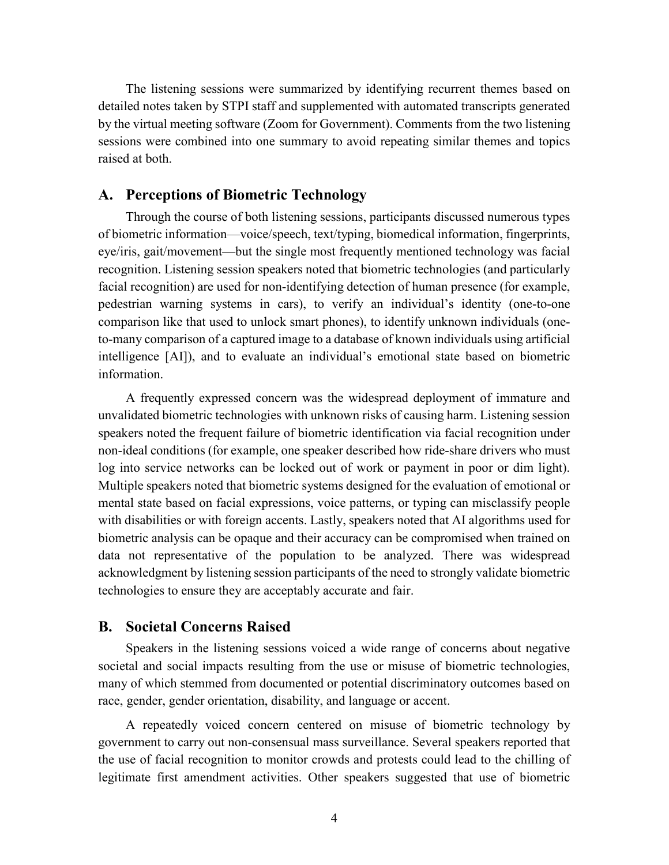|     | A <sub>1</sub>  |                                 |  |  |  |  |  |
|-----|-----------------|---------------------------------|--|--|--|--|--|
|     | <b>B.</b>       |                                 |  |  |  |  |  |
|     | $\mathcal{C}$ . |                                 |  |  |  |  |  |
|     | D.              |                                 |  |  |  |  |  |
| 10. |                 |                                 |  |  |  |  |  |
|     | A.              |                                 |  |  |  |  |  |
|     | $\mathbf{B}$    |                                 |  |  |  |  |  |
|     | C.              |                                 |  |  |  |  |  |
|     | D.              |                                 |  |  |  |  |  |
|     |                 |                                 |  |  |  |  |  |
|     |                 | 2.                              |  |  |  |  |  |
|     |                 | 3 <sub>1</sub>                  |  |  |  |  |  |
|     |                 |                                 |  |  |  |  |  |
|     |                 | 5 <sub>1</sub>                  |  |  |  |  |  |
|     |                 | 6.                              |  |  |  |  |  |
|     |                 | 7.                              |  |  |  |  |  |
|     |                 |                                 |  |  |  |  |  |
|     | E.              |                                 |  |  |  |  |  |
|     |                 |                                 |  |  |  |  |  |
|     |                 | $\mathcal{D}$                   |  |  |  |  |  |
|     |                 | 3 <sub>1</sub>                  |  |  |  |  |  |
|     |                 | $4_{\scriptscriptstyle{\perp}}$ |  |  |  |  |  |
|     |                 | 5.                              |  |  |  |  |  |
|     |                 |                                 |  |  |  |  |  |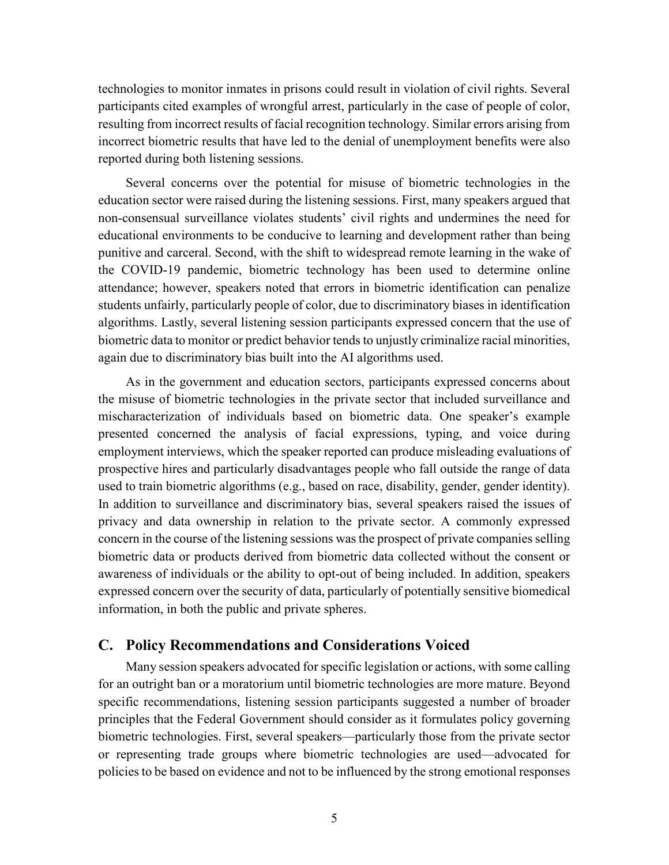## **1. Introduction and Background**

<span id="page-8-0"></span>On October 8, 2021, the Office of Science and Technology Policy (OSTP) posted a Request for Information (RFI) on Public and Private Sector Uses of Biometric Technologies (the "Biometric RFI").<sup>[2](#page-8-1)</sup> The purpose of the RFI was "to understand the extent and variety of biometric technologies in past, current, or planned use; the domains in which these technologies are being used; the entities making use of them; current principles, practices, or policies governing their use; and the stakeholders that are, or may be, impacted by their use or regulation."[3](#page-8-2) The RFI requested responses by January 15, 2022, and comments received by the first subsequent business day—January 18, 2022—are incorporated into this synopsis. In conjunction with the RFI, OSTP also hosted two public listening sessions (November 18 and 29, 2021) for individuals to submit oral comments.

OSTP asked the Science and Technology Policy Institute (STPI) to facilitate the listening sessions and to prepare a written report summarizing both oral comments expressed in the listening sessions and written responses submitted to the RFI.

For the purposes of the RFI, "biometric information" refers to "any measurements or derived data of an individual's physical (e.g., DNA, fingerprints, face or retina scans) and behavioral (e.g., gestures, gait, voice) characteristics."[4](#page-8-3) Although any comments addressing the use of biometric technologies in the public and private sectors were solicited, OSTP identified six particular topics of interest:<sup>[5](#page-8-4)</sup>

- 1. Descriptions of use of biometric information for recognition and inference;
- 2. Procedures for and results of data-driven and scientific validation of biometric technologies;
- 3. Security considerations associated with a particular biometric technology;
- 4. Exhibited and potential harms of a particular biometric technology;
- 5. Exhibited and potential benefits of a particular biometric technology; and

 $\overline{a}$ 

<span id="page-8-1"></span><sup>2</sup> Notice of Request for Information (RFI) on Public and Private Sector Uses of Biometric Technologies, 86 Federal Register 56,300 (October 8, 2021). https://www.federalregister.gov/documents/2021/10/08/2021-21975/notice-of-request-for-informationrfi-on-public-and-private-sector-uses-of-biometric-technologies

<span id="page-8-2"></span><sup>3</sup> Ibid.

<span id="page-8-3"></span><sup>4</sup> Ibid.

<span id="page-8-4"></span><sup>5</sup> Ibid.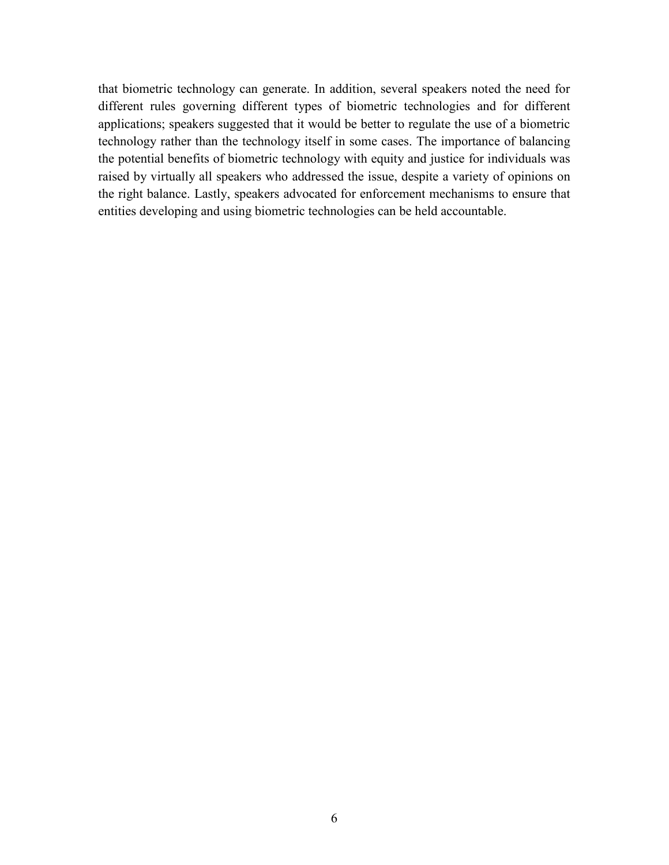6. Governance programs, practices or procedures applicable to the context, scope, and data use of a specific use case.

This synopsis is based on 74 oral comments made during the listening sessions and over 1,000 pages of written comments submitted to the RFI. The oral and written comments were treated separately due to the different level of detail that each mode could accommodate. In addition, a number of listening session speakers also submitted written comments; their oral and written contributions were treated separately and incorporated into the corresponding sections of this document. Thirty listening session attendees (13 of whom spoke) also submitted written comments.

The purpose of this report is to identify recurrent and common themes in the RFI submissions and provide the reader with an overview organizing the many disparate comments, opinions, and recommendations provided by RFI respondents. Although this report aims to provide as thorough a summary of the oral and written comments received by the RFI as possible, its brevity allows it to capture only the general sense of respondents' submissions. It is not a replacement for the original comments submitted by respondents expressing their thoughts and concerns regarding biometric technology in their own words, which have been publicly posted by OSTP.<sup>[6](#page-9-0)</sup>

All statements and opinions reported in this document are based on submitted comments. **All RFI respondents' statements were accepted at face value; no attempt was made to verify or fact-check claims made in oral or written submissions.** Numerous sometimes contradictory statements and opposing opinions were received; to avoid the perception of favoring particular submitters, these are not directly cited in this document. Inclusion of comments or recommendations derived from Biometric RFI submissions in this report does not represent endorsement by STPI or OSTP.

 $\overline{a}$ 

<span id="page-9-0"></span> $6$  Public Input on Public and Private Sector Uses of Biometric Technologies: https://www.ai.gov/86-fr-56300-responses/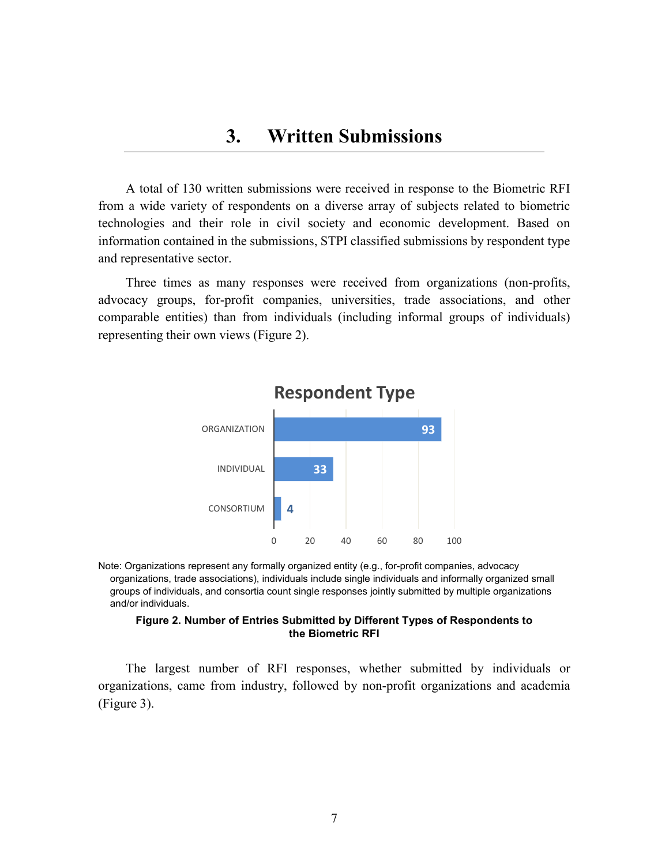<span id="page-10-0"></span>In support of OSTP's RFI on Public and Private Sector Uses of Biometric Technologies, STPI facilitated two OSTP-hosted virtual public listening sessions on Thursday, November 18, 2021 from 4:00–6:00 p.m. eastern time and Monday, November 29, 2021 from 7:00–9:00 p.m. eastern time. The format allowed speakers to address any aspect of the use and governance of biometric technologies in turns of 2 minutes. Between the two events, 225 participants representing a variety of societal sectors (Figure 1) attended for at least part of one or both sessions, and 53 individuals spoke or contributed comments (one person spoke at both sessions and several people delivered more than one comment). Speakers addressed a wide range of technological issues, societal concerns, and policy considerations.



**Listening Session Participants**

Note: Categories were self-identified by participants at the time of registration ("Other" included entities like law firms, scientific societies, and research organizations). Although industry was represented by the largest number of attendees, almost half of all speakers identified themselves as representing civil society or other advocacy organizations.

#### **Figure 1. Number of Individuals Who Attended and Spoke at One or Both Biometric Listening Sessions**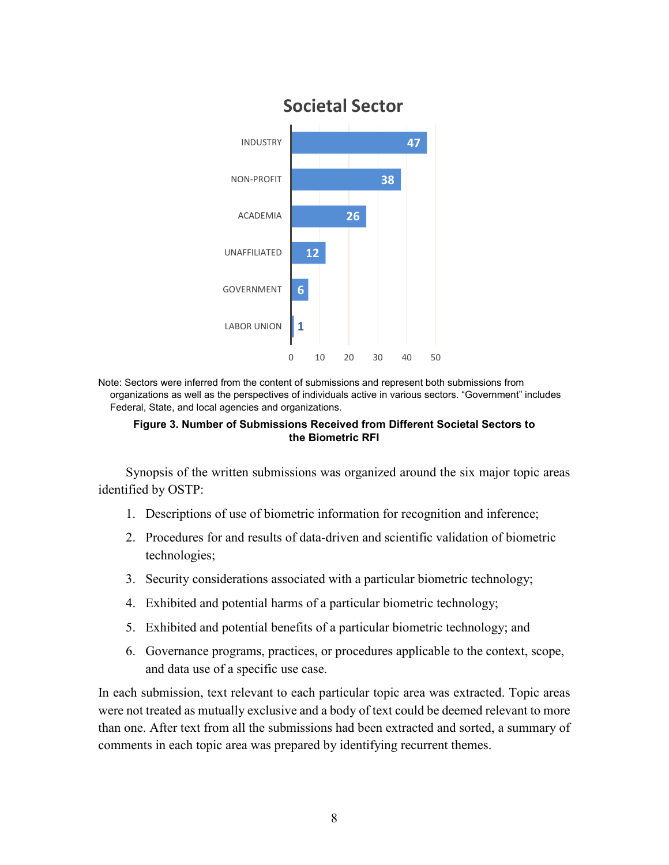The listening sessions were summarized by identifying recurrent themes based on detailed notes taken by STPI staff and supplemented with automated transcripts generated by the virtual meeting software (Zoom for Government). Comments from the two listening sessions were combined into one summary to avoid repeating similar themes and topics raised at both.

## <span id="page-11-0"></span>**A. Perceptions of Biometric Technology**

Through the course of both listening sessions, participants discussed numerous types of biometric information—voice/speech, text/typing, biomedical information, fingerprints, eye/iris, gait/movement—but the single most frequently mentioned technology was facial recognition. Listening session speakers noted that biometric technologies (and particularly facial recognition) are used for non-identifying detection of human presence (for example, pedestrian warning systems in cars), to verify an individual's identity (one-to-one comparison like that used to unlock smart phones), to identify unknown individuals (oneto-many comparison of a captured image to a database of known individuals using artificial intelligence [AI]), and to evaluate an individual's emotional state based on biometric information.

A frequently expressed concern was the widespread deployment of immature and unvalidated biometric technologies with unknown risks of causing harm. Listening session speakers noted the frequent failure of biometric identification via facial recognition under non-ideal conditions (for example, one speaker described how ride-share drivers who must log into service networks can be locked out of work or payment in poor or dim light). Multiple speakers noted that biometric systems designed for the evaluation of emotional or mental state based on facial expressions, voice patterns, or typing can misclassify people with disabilities or with foreign accents. Lastly, speakers noted that AI algorithms used for biometric analysis can be opaque and their accuracy can be compromised when trained on data not representative of the population to be analyzed. There was widespread acknowledgment by listening session participants of the need to strongly validate biometric technologies to ensure they are acceptably accurate and fair.

## <span id="page-11-1"></span>**B. Societal Concerns Raised**

Speakers in the listening sessions voiced a wide range of concerns about negative societal and social impacts resulting from the use or misuse of biometric technologies, many of which stemmed from documented or potential discriminatory outcomes based on race, gender, gender orientation, disability, and language or accent.

A repeatedly voiced concern centered on misuse of biometric technology by government to carry out non-consensual mass surveillance. Several speakers reported that the use of facial recognition to monitor crowds and protests could lead to the chilling of legitimate first amendment activities. Other speakers suggested that use of biometric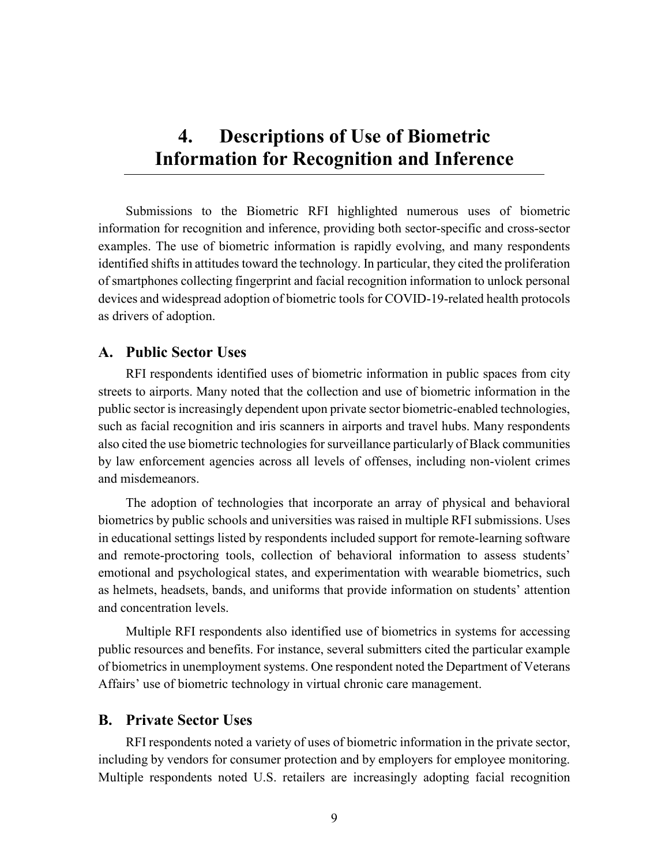technologies to monitor inmates in prisons could result in violation of civil rights. Several participants cited examples of wrongful arrest, particularly in the case of people of color, resulting from incorrect results of facial recognition technology. Similar errors arising from incorrect biometric results that have led to the denial of unemployment benefits were also reported during both listening sessions.

Several concerns over the potential for misuse of biometric technologies in the education sector were raised during the listening sessions. First, many speakers argued that non-consensual surveillance violates students' civil rights and undermines the need for educational environments to be conducive to learning and development rather than being punitive and carceral. Second, with the shift to widespread remote learning in the wake of the COVID-19 pandemic, biometric technology has been used to determine online attendance; however, speakers noted that errors in biometric identification can penalize students unfairly, particularly people of color, due to discriminatory biases in identification algorithms. Lastly, several listening session participants expressed concern that the use of biometric data to monitor or predict behavior tends to unjustly criminalize racial minorities, again due to discriminatory bias built into the AI algorithms used.

As in the government and education sectors, participants expressed concerns about the misuse of biometric technologies in the private sector that included surveillance and mischaracterization of individuals based on biometric data. One speaker's example presented concerned the analysis of facial expressions, typing, and voice during employment interviews, which the speaker reported can produce misleading evaluations of prospective hires and particularly disadvantages people who fall outside the range of data used to train biometric algorithms (e.g., based on race, disability, gender, gender identity). In addition to surveillance and discriminatory bias, several speakers raised the issues of privacy and data ownership in relation to the private sector. A commonly expressed concern in the course of the listening sessions was the prospect of private companies selling biometric data or products derived from biometric data collected without the consent or awareness of individuals or the ability to opt-out of being included. In addition, speakers expressed concern over the security of data, particularly of potentially sensitive biomedical information, in both the public and private spheres.

## <span id="page-12-0"></span>**C. Policy Recommendations and Considerations Voiced**

Many session speakers advocated for specific legislation or actions, with some calling for an outright ban or a moratorium until biometric technologies are more mature. Beyond specific recommendations, listening session participants suggested a number of broader principles that the Federal Government should consider as it formulates policy governing biometric technologies. First, several speakers—particularly those from the private sector or representing trade groups where biometric technologies are used—advocated for policies to be based on evidence and not to be influenced by the strong emotional responses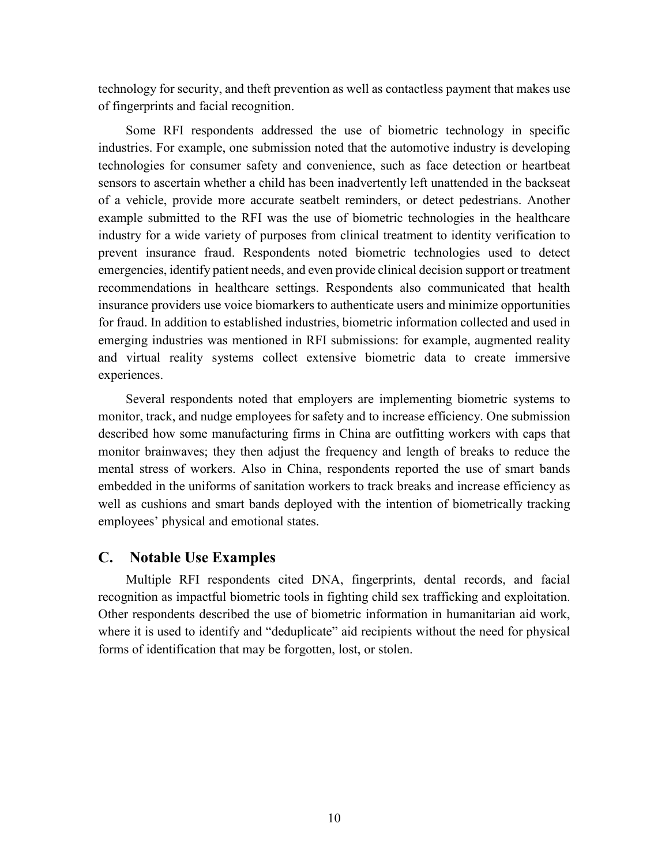that biometric technology can generate. In addition, several speakers noted the need for different rules governing different types of biometric technologies and for different applications; speakers suggested that it would be better to regulate the use of a biometric technology rather than the technology itself in some cases. The importance of balancing the potential benefits of biometric technology with equity and justice for individuals was raised by virtually all speakers who addressed the issue, despite a variety of opinions on the right balance. Lastly, speakers advocated for enforcement mechanisms to ensure that entities developing and using biometric technologies can be held accountable.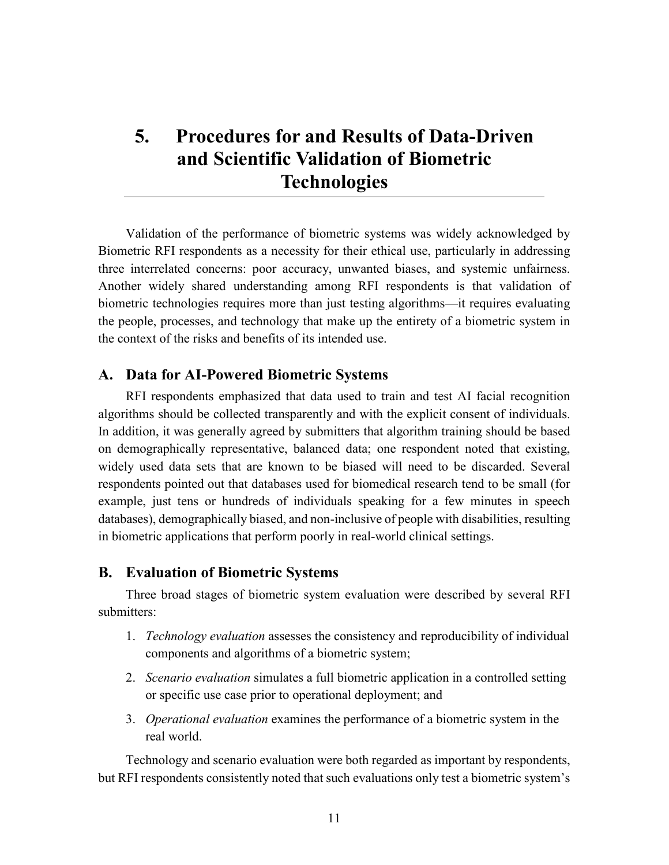## **3. Written Submissions**

<span id="page-14-0"></span>A total of 130 written submissions were received in response to the Biometric RFI from a wide variety of respondents on a diverse array of subjects related to biometric technologies and their role in civil society and economic development. Based on information contained in the submissions, STPI classified submissions by respondent type and representative sector.

Three times as many responses were received from organizations (non-profits, advocacy groups, for-profit companies, universities, trade associations, and other comparable entities) than from individuals (including informal groups of individuals) representing their own views (Figure 2).



**Respondent Type**

Note: Organizations represent any formally organized entity (e.g., for-profit companies, advocacy organizations, trade associations), individuals include single individuals and informally organized small groups of individuals, and consortia count single responses jointly submitted by multiple organizations and/or individuals.

#### **Figure 2. Number of Entries Submitted by Different Types of Respondents to the Biometric RFI**

The largest number of RFI responses, whether submitted by individuals or organizations, came from industry, followed by non-profit organizations and academia (Figure 3).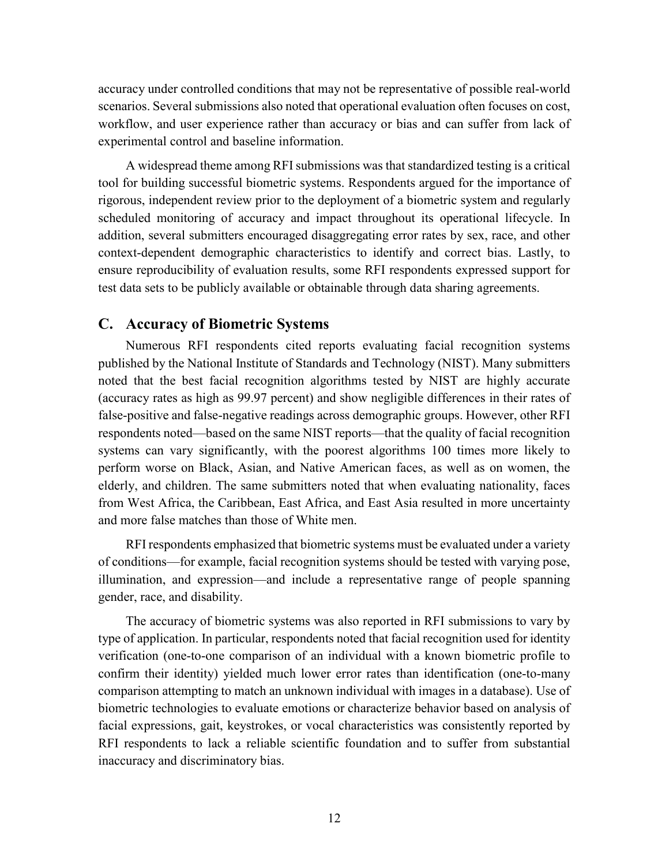

## **Societal Sector**

Note: Sectors were inferred from the content of submissions and represent both submissions from organizations as well as the perspectives of individuals active in various sectors. "Government" includes Federal, State, and local agencies and organizations.

#### **Figure 3. Number of Submissions Received from Different Societal Sectors to the Biometric RFI**

Synopsis of the written submissions was organized around the six major topic areas identified by OSTP:

- 1. Descriptions of use of biometric information for recognition and inference;
- 2. Procedures for and results of data-driven and scientific validation of biometric technologies;
- 3. Security considerations associated with a particular biometric technology;
- 4. Exhibited and potential harms of a particular biometric technology;
- 5. Exhibited and potential benefits of a particular biometric technology; and
- 6. Governance programs, practices, or procedures applicable to the context, scope, and data use of a specific use case.

In each submission, text relevant to each particular topic area was extracted. Topic areas were not treated as mutually exclusive and a body of text could be deemed relevant to more than one. After text from all the submissions had been extracted and sorted, a summary of comments in each topic area was prepared by identifying recurrent themes.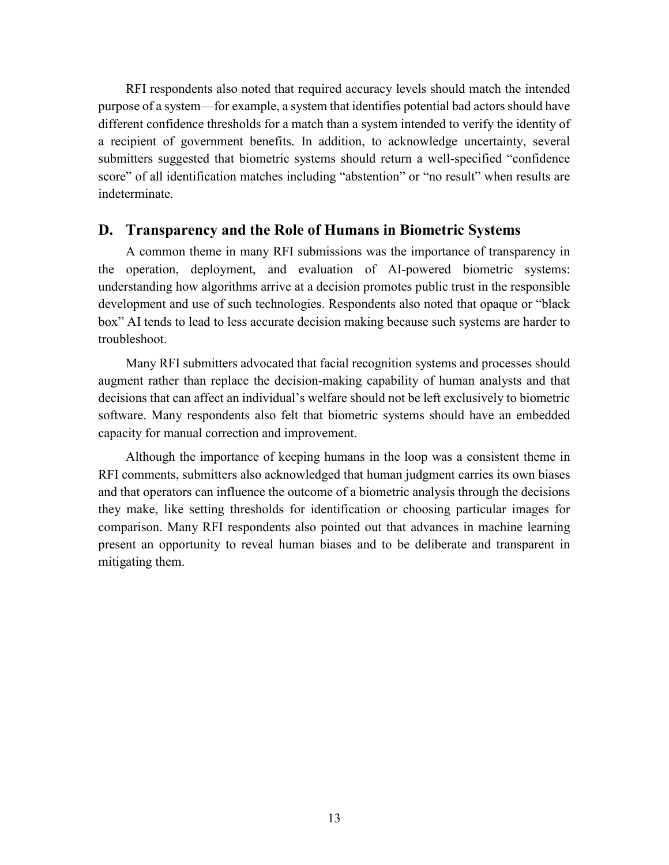# <span id="page-16-0"></span>**4. Descriptions of Use of Biometric Information for Recognition and Inference**

Submissions to the Biometric RFI highlighted numerous uses of biometric information for recognition and inference, providing both sector-specific and cross-sector examples. The use of biometric information is rapidly evolving, and many respondents identified shifts in attitudes toward the technology. In particular, they cited the proliferation of smartphones collecting fingerprint and facial recognition information to unlock personal devices and widespread adoption of biometric tools for COVID-19-related health protocols as drivers of adoption.

### <span id="page-16-1"></span>**A. Public Sector Uses**

RFI respondents identified uses of biometric information in public spaces from city streets to airports. Many noted that the collection and use of biometric information in the public sector is increasingly dependent upon private sector biometric-enabled technologies, such as facial recognition and iris scanners in airports and travel hubs. Many respondents also cited the use biometric technologies for surveillance particularly of Black communities by law enforcement agencies across all levels of offenses, including non-violent crimes and misdemeanors.

The adoption of technologies that incorporate an array of physical and behavioral biometrics by public schools and universities was raised in multiple RFI submissions. Uses in educational settings listed by respondents included support for remote-learning software and remote-proctoring tools, collection of behavioral information to assess students' emotional and psychological states, and experimentation with wearable biometrics, such as helmets, headsets, bands, and uniforms that provide information on students' attention and concentration levels.

Multiple RFI respondents also identified use of biometrics in systems for accessing public resources and benefits. For instance, several submitters cited the particular example of biometrics in unemployment systems. One respondent noted the Department of Veterans Affairs' use of biometric technology in virtual chronic care management.

#### <span id="page-16-2"></span>**B. Private Sector Uses**

RFI respondents noted a variety of uses of biometric information in the private sector, including by vendors for consumer protection and by employers for employee monitoring. Multiple respondents noted U.S. retailers are increasingly adopting facial recognition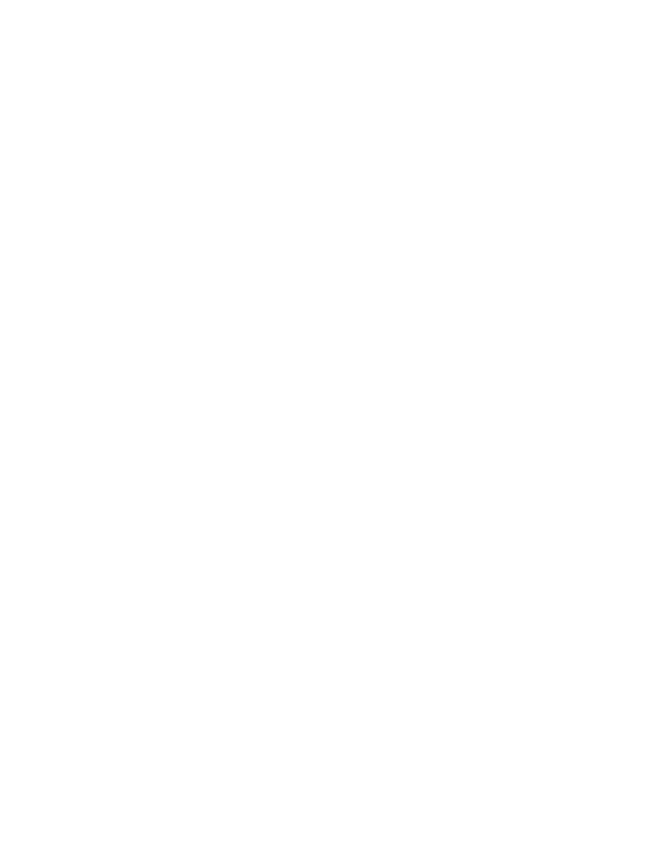technology for security, and theft prevention as well as contactless payment that makes use of fingerprints and facial recognition.

Some RFI respondents addressed the use of biometric technology in specific industries. For example, one submission noted that the automotive industry is developing technologies for consumer safety and convenience, such as face detection or heartbeat sensors to ascertain whether a child has been inadvertently left unattended in the backseat of a vehicle, provide more accurate seatbelt reminders, or detect pedestrians. Another example submitted to the RFI was the use of biometric technologies in the healthcare industry for a wide variety of purposes from clinical treatment to identity verification to prevent insurance fraud. Respondents noted biometric technologies used to detect emergencies, identify patient needs, and even provide clinical decision support or treatment recommendations in healthcare settings. Respondents also communicated that health insurance providers use voice biomarkers to authenticate users and minimize opportunities for fraud. In addition to established industries, biometric information collected and used in emerging industries was mentioned in RFI submissions: for example, augmented reality and virtual reality systems collect extensive biometric data to create immersive experiences.

Several respondents noted that employers are implementing biometric systems to monitor, track, and nudge employees for safety and to increase efficiency. One submission described how some manufacturing firms in China are outfitting workers with caps that monitor brainwaves; they then adjust the frequency and length of breaks to reduce the mental stress of workers. Also in China, respondents reported the use of smart bands embedded in the uniforms of sanitation workers to track breaks and increase efficiency as well as cushions and smart bands deployed with the intention of biometrically tracking employees' physical and emotional states.

## <span id="page-17-0"></span>**C. Notable Use Examples**

Multiple RFI respondents cited DNA, fingerprints, dental records, and facial recognition as impactful biometric tools in fighting child sex trafficking and exploitation. Other respondents described the use of biometric information in humanitarian aid work, where it is used to identify and "deduplicate" aid recipients without the need for physical forms of identification that may be forgotten, lost, or stolen.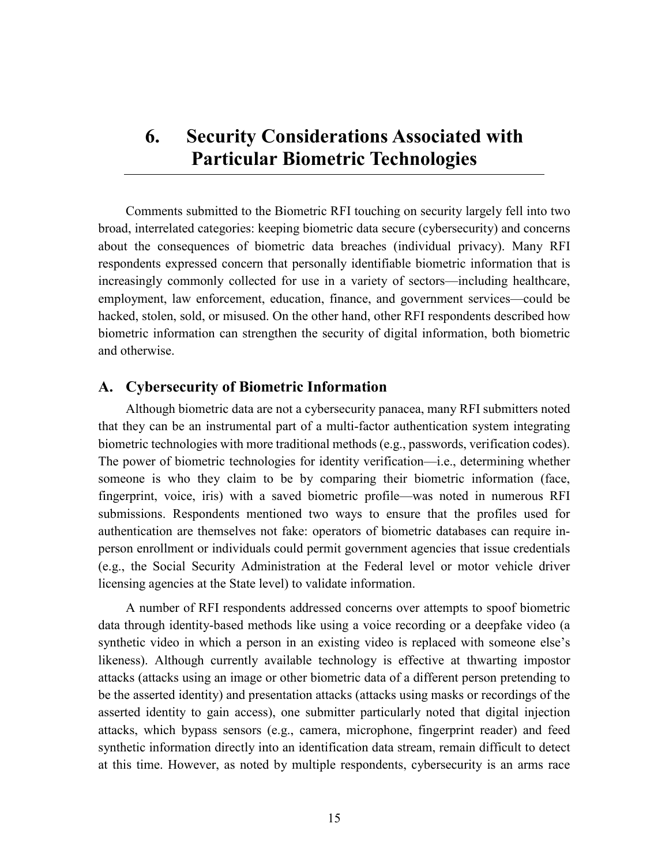# <span id="page-18-0"></span>**5. Procedures for and Results of Data-Driven and Scientific Validation of Biometric Technologies**

Validation of the performance of biometric systems was widely acknowledged by Biometric RFI respondents as a necessity for their ethical use, particularly in addressing three interrelated concerns: poor accuracy, unwanted biases, and systemic unfairness. Another widely shared understanding among RFI respondents is that validation of biometric technologies requires more than just testing algorithms—it requires evaluating the people, processes, and technology that make up the entirety of a biometric system in the context of the risks and benefits of its intended use.

### <span id="page-18-1"></span>**A. Data for AI-Powered Biometric Systems**

RFI respondents emphasized that data used to train and test AI facial recognition algorithms should be collected transparently and with the explicit consent of individuals. In addition, it was generally agreed by submitters that algorithm training should be based on demographically representative, balanced data; one respondent noted that existing, widely used data sets that are known to be biased will need to be discarded. Several respondents pointed out that databases used for biomedical research tend to be small (for example, just tens or hundreds of individuals speaking for a few minutes in speech databases), demographically biased, and non-inclusive of people with disabilities, resulting in biometric applications that perform poorly in real-world clinical settings.

## <span id="page-18-2"></span>**B. Evaluation of Biometric Systems**

Three broad stages of biometric system evaluation were described by several RFI submitters:

- 1. *Technology evaluation* assesses the consistency and reproducibility of individual components and algorithms of a biometric system;
- 2. *Scenario evaluation* simulates a full biometric application in a controlled setting or specific use case prior to operational deployment; and
- 3. *Operational evaluation* examines the performance of a biometric system in the real world.

Technology and scenario evaluation were both regarded as important by respondents, but RFI respondents consistently noted that such evaluations only test a biometric system's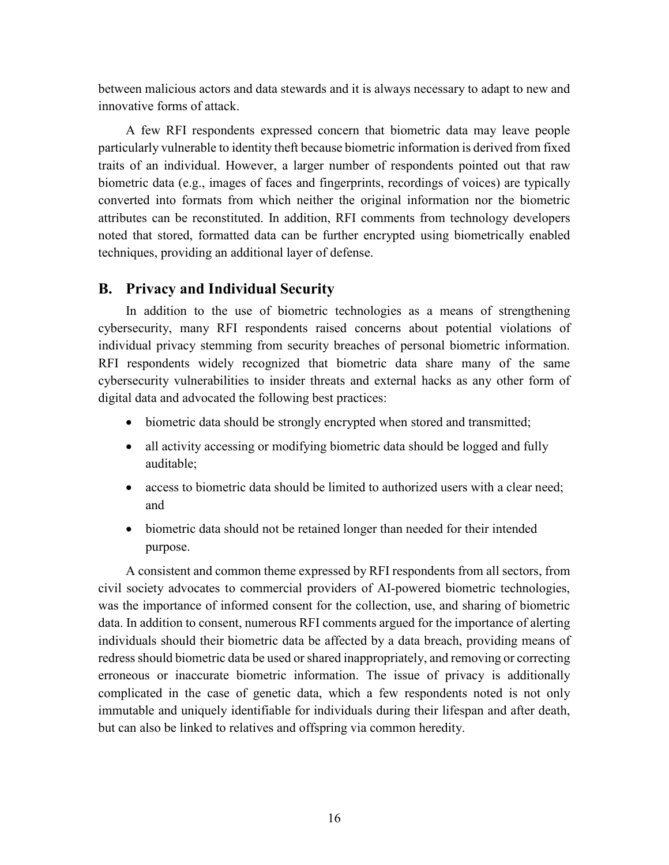accuracy under controlled conditions that may not be representative of possible real-world scenarios. Several submissions also noted that operational evaluation often focuses on cost, workflow, and user experience rather than accuracy or bias and can suffer from lack of experimental control and baseline information.

A widespread theme among RFIsubmissions was that standardized testing is a critical tool for building successful biometric systems. Respondents argued for the importance of rigorous, independent review prior to the deployment of a biometric system and regularly scheduled monitoring of accuracy and impact throughout its operational lifecycle. In addition, several submitters encouraged disaggregating error rates by sex, race, and other context-dependent demographic characteristics to identify and correct bias. Lastly, to ensure reproducibility of evaluation results, some RFI respondents expressed support for test data sets to be publicly available or obtainable through data sharing agreements.

## <span id="page-19-0"></span>**C. Accuracy of Biometric Systems**

Numerous RFI respondents cited reports evaluating facial recognition systems published by the National Institute of Standards and Technology (NIST). Many submitters noted that the best facial recognition algorithms tested by NIST are highly accurate (accuracy rates as high as 99.97 percent) and show negligible differences in their rates of false-positive and false-negative readings across demographic groups. However, other RFI respondents noted—based on the same NIST reports—that the quality of facial recognition systems can vary significantly, with the poorest algorithms 100 times more likely to perform worse on Black, Asian, and Native American faces, as well as on women, the elderly, and children. The same submitters noted that when evaluating nationality, faces from West Africa, the Caribbean, East Africa, and East Asia resulted in more uncertainty and more false matches than those of White men.

RFI respondents emphasized that biometric systems must be evaluated under a variety of conditions—for example, facial recognition systems should be tested with varying pose, illumination, and expression—and include a representative range of people spanning gender, race, and disability.

The accuracy of biometric systems was also reported in RFI submissions to vary by type of application. In particular, respondents noted that facial recognition used for identity verification (one-to-one comparison of an individual with a known biometric profile to confirm their identity) yielded much lower error rates than identification (one-to-many comparison attempting to match an unknown individual with images in a database). Use of biometric technologies to evaluate emotions or characterize behavior based on analysis of facial expressions, gait, keystrokes, or vocal characteristics was consistently reported by RFI respondents to lack a reliable scientific foundation and to suffer from substantial inaccuracy and discriminatory bias.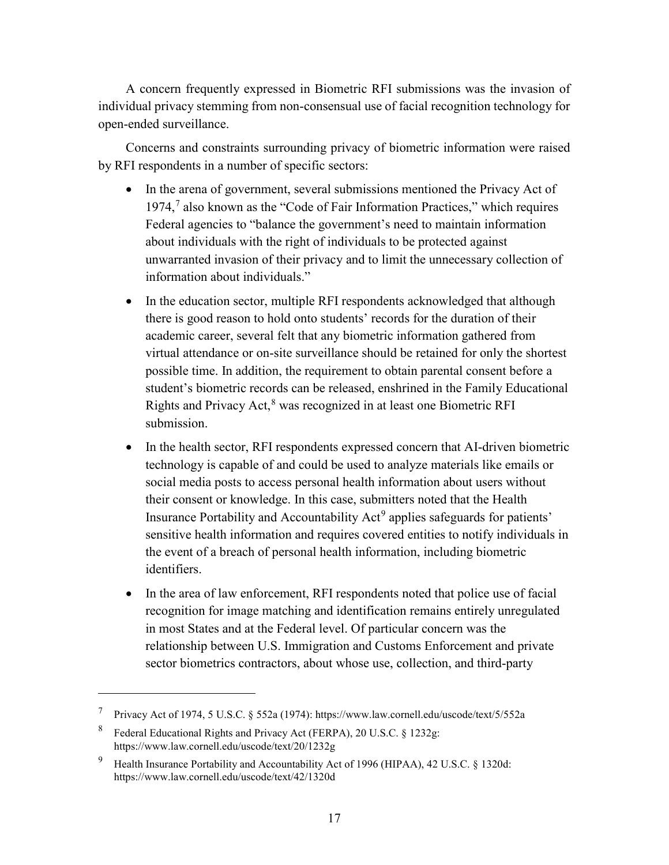RFI respondents also noted that required accuracy levels should match the intended purpose of a system—for example, a system that identifies potential bad actors should have different confidence thresholds for a match than a system intended to verify the identity of a recipient of government benefits. In addition, to acknowledge uncertainty, several submitters suggested that biometric systems should return a well-specified "confidence score" of all identification matches including "abstention" or "no result" when results are indeterminate.

## <span id="page-20-0"></span>**D. Transparency and the Role of Humans in Biometric Systems**

A common theme in many RFI submissions was the importance of transparency in the operation, deployment, and evaluation of AI-powered biometric systems: understanding how algorithms arrive at a decision promotes public trust in the responsible development and use of such technologies. Respondents also noted that opaque or "black box" AI tends to lead to less accurate decision making because such systems are harder to troubleshoot.

Many RFI submitters advocated that facial recognition systems and processes should augment rather than replace the decision-making capability of human analysts and that decisions that can affect an individual's welfare should not be left exclusively to biometric software. Many respondents also felt that biometric systems should have an embedded capacity for manual correction and improvement.

Although the importance of keeping humans in the loop was a consistent theme in RFI comments, submitters also acknowledged that human judgment carries its own biases and that operators can influence the outcome of a biometric analysis through the decisions they make, like setting thresholds for identification or choosing particular images for comparison. Many RFI respondents also pointed out that advances in machine learning present an opportunity to reveal human biases and to be deliberate and transparent in mitigating them.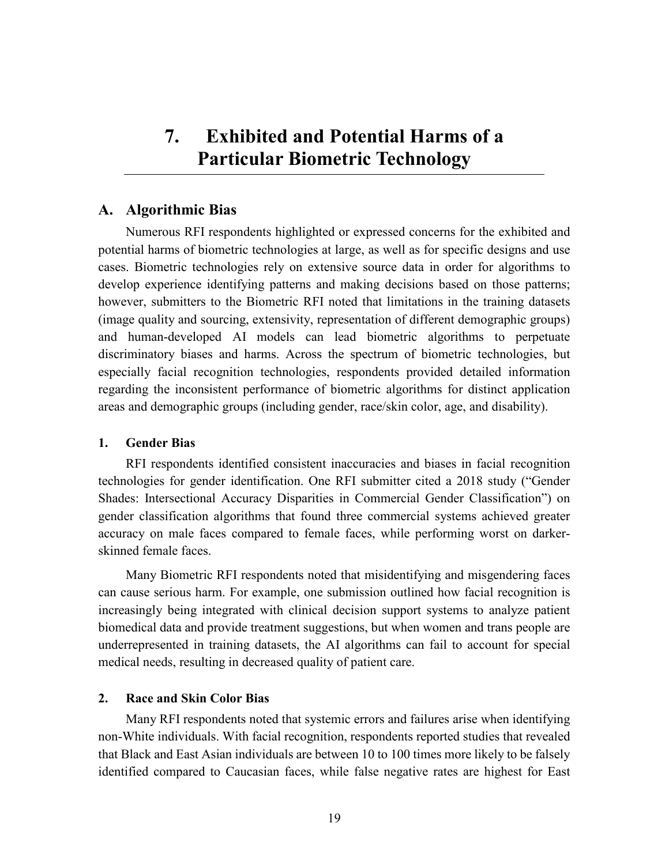# <span id="page-22-0"></span>**6. Security Considerations Associated with Particular Biometric Technologies**

Comments submitted to the Biometric RFI touching on security largely fell into two broad, interrelated categories: keeping biometric data secure (cybersecurity) and concerns about the consequences of biometric data breaches (individual privacy). Many RFI respondents expressed concern that personally identifiable biometric information that is increasingly commonly collected for use in a variety of sectors—including healthcare, employment, law enforcement, education, finance, and government services—could be hacked, stolen, sold, or misused. On the other hand, other RFI respondents described how biometric information can strengthen the security of digital information, both biometric and otherwise.

## <span id="page-22-1"></span>**A. Cybersecurity of Biometric Information**

Although biometric data are not a cybersecurity panacea, many RFI submitters noted that they can be an instrumental part of a multi-factor authentication system integrating biometric technologies with more traditional methods (e.g., passwords, verification codes). The power of biometric technologies for identity verification—i.e., determining whether someone is who they claim to be by comparing their biometric information (face, fingerprint, voice, iris) with a saved biometric profile—was noted in numerous RFI submissions. Respondents mentioned two ways to ensure that the profiles used for authentication are themselves not fake: operators of biometric databases can require inperson enrollment or individuals could permit government agencies that issue credentials (e.g., the Social Security Administration at the Federal level or motor vehicle driver licensing agencies at the State level) to validate information.

A number of RFI respondents addressed concerns over attempts to spoof biometric data through identity-based methods like using a voice recording or a deepfake video (a synthetic video in which a person in an existing video is replaced with someone else's likeness). Although currently available technology is effective at thwarting impostor attacks (attacks using an image or other biometric data of a different person pretending to be the asserted identity) and presentation attacks (attacks using masks or recordings of the asserted identity to gain access), one submitter particularly noted that digital injection attacks, which bypass sensors (e.g., camera, microphone, fingerprint reader) and feed synthetic information directly into an identification data stream, remain difficult to detect at this time. However, as noted by multiple respondents, cybersecurity is an arms race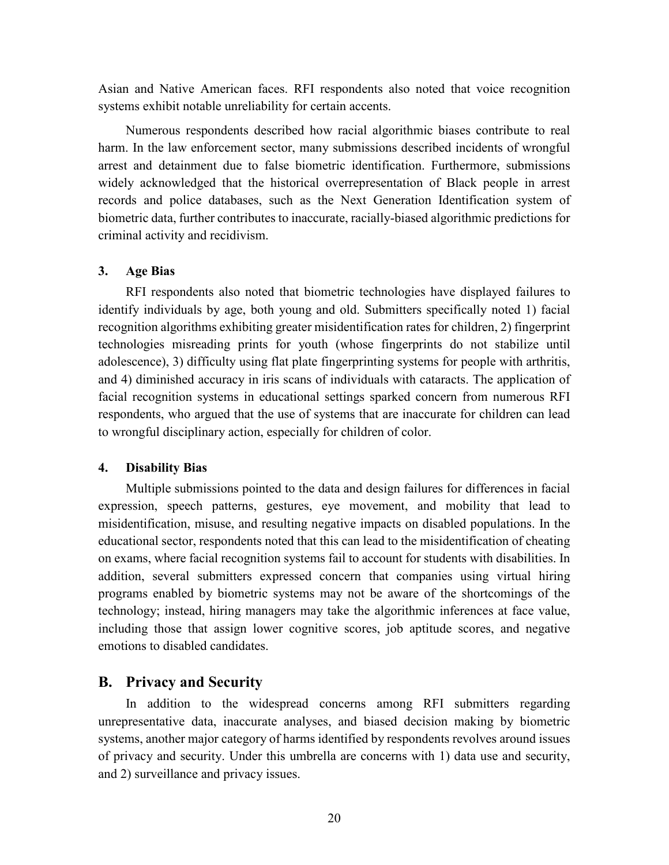between malicious actors and data stewards and it is always necessary to adapt to new and innovative forms of attack.

A few RFI respondents expressed concern that biometric data may leave people particularly vulnerable to identity theft because biometric information is derived from fixed traits of an individual. However, a larger number of respondents pointed out that raw biometric data (e.g., images of faces and fingerprints, recordings of voices) are typically converted into formats from which neither the original information nor the biometric attributes can be reconstituted. In addition, RFI comments from technology developers noted that stored, formatted data can be further encrypted using biometrically enabled techniques, providing an additional layer of defense.

## <span id="page-23-0"></span>**B. Privacy and Individual Security**

In addition to the use of biometric technologies as a means of strengthening cybersecurity, many RFI respondents raised concerns about potential violations of individual privacy stemming from security breaches of personal biometric information. RFI respondents widely recognized that biometric data share many of the same cybersecurity vulnerabilities to insider threats and external hacks as any other form of digital data and advocated the following best practices:

- biometric data should be strongly encrypted when stored and transmitted;
- all activity accessing or modifying biometric data should be logged and fully auditable;
- access to biometric data should be limited to authorized users with a clear need: and
- biometric data should not be retained longer than needed for their intended purpose.

A consistent and common theme expressed by RFI respondents from all sectors, from civil society advocates to commercial providers of AI-powered biometric technologies, was the importance of informed consent for the collection, use, and sharing of biometric data. In addition to consent, numerous RFI comments argued for the importance of alerting individuals should their biometric data be affected by a data breach, providing means of redress should biometric data be used or shared inappropriately, and removing or correcting erroneous or inaccurate biometric information. The issue of privacy is additionally complicated in the case of genetic data, which a few respondents noted is not only immutable and uniquely identifiable for individuals during their lifespan and after death, but can also be linked to relatives and offspring via common heredity.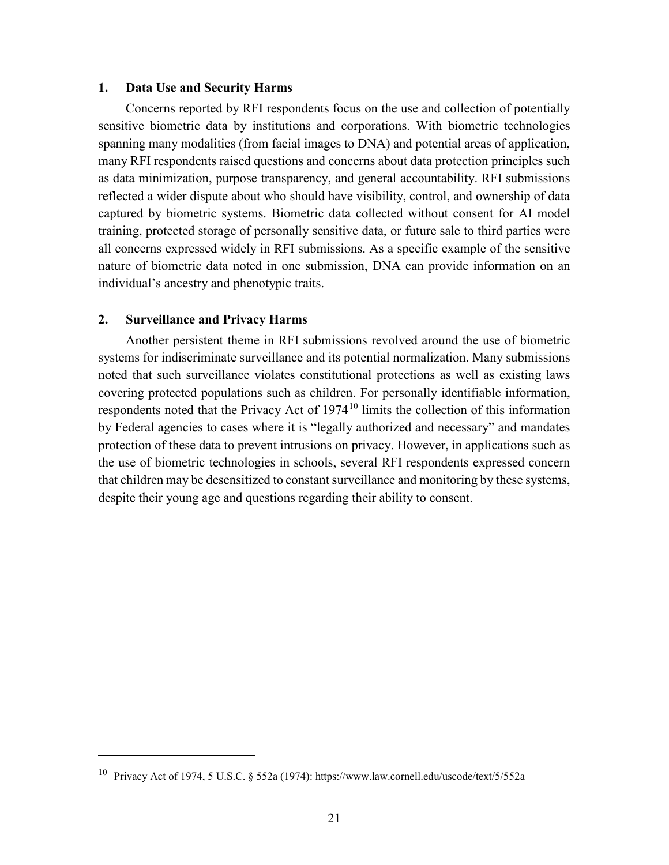A concern frequently expressed in Biometric RFI submissions was the invasion of individual privacy stemming from non-consensual use of facial recognition technology for open-ended surveillance.

Concerns and constraints surrounding privacy of biometric information were raised by RFI respondents in a number of specific sectors:

- In the arena of government, several submissions mentioned the Privacy Act of 19[7](#page-24-0)4, $<sup>7</sup>$  also known as the "Code of Fair Information Practices," which requires</sup> Federal agencies to "balance the government's need to maintain information about individuals with the right of individuals to be protected against unwarranted invasion of their privacy and to limit the unnecessary collection of information about individuals."
- In the education sector, multiple RFI respondents acknowledged that although there is good reason to hold onto students' records for the duration of their academic career, several felt that any biometric information gathered from virtual attendance or on-site surveillance should be retained for only the shortest possible time. In addition, the requirement to obtain parental consent before a student's biometric records can be released, enshrined in the Family Educational Rights and Privacy Act,<sup>[8](#page-24-1)</sup> was recognized in at least one Biometric RFI submission.
- In the health sector, RFI respondents expressed concern that AI-driven biometric technology is capable of and could be used to analyze materials like emails or social media posts to access personal health information about users without their consent or knowledge. In this case, submitters noted that the Health Insurance Portability and Accountability Act<sup>[9](#page-24-2)</sup> applies safeguards for patients' sensitive health information and requires covered entities to notify individuals in the event of a breach of personal health information, including biometric identifiers.
- In the area of law enforcement, RFI respondents noted that police use of facial recognition for image matching and identification remains entirely unregulated in most States and at the Federal level. Of particular concern was the relationship between U.S. Immigration and Customs Enforcement and private sector biometrics contractors, about whose use, collection, and third-party

 $\overline{a}$ 

<span id="page-24-0"></span>Privacy Act of 1974, 5 U.S.C. § 552a (1974): https://www.law.cornell.edu/uscode/text/5/552a

<span id="page-24-1"></span><sup>8</sup> Federal Educational Rights and Privacy Act (FERPA), 20 U.S.C. § 1232g: https://www.law.cornell.edu/uscode/text/20/1232g

<span id="page-24-2"></span><sup>&</sup>lt;sup>9</sup> Health Insurance Portability and Accountability Act of 1996 (HIPAA), 42 U.S.C. § 1320d: https://www.law.cornell.edu/uscode/text/42/1320d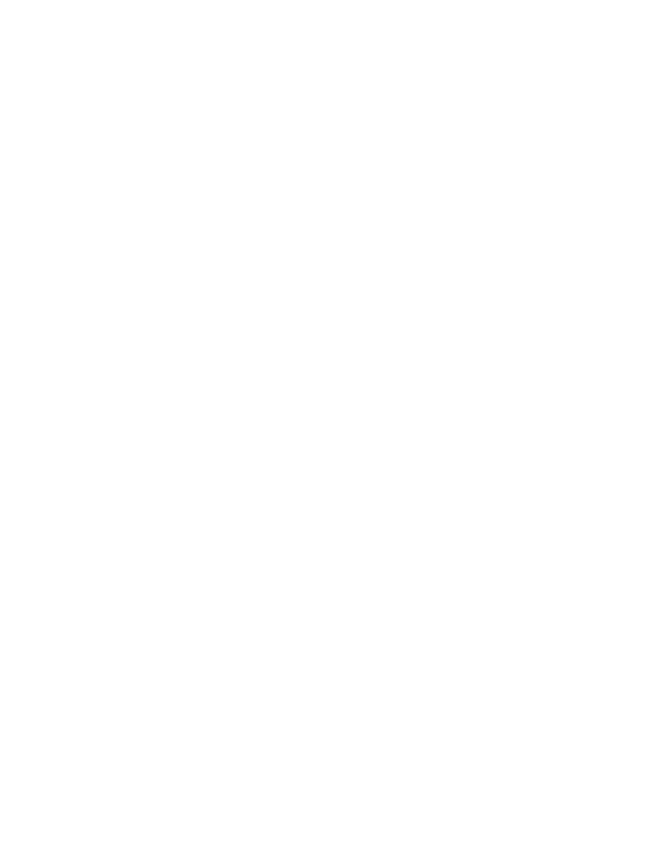sharing (including with foreign governments) of data little is publicly known and who RFI respondents report have received exemptions from Privacy Act requirements.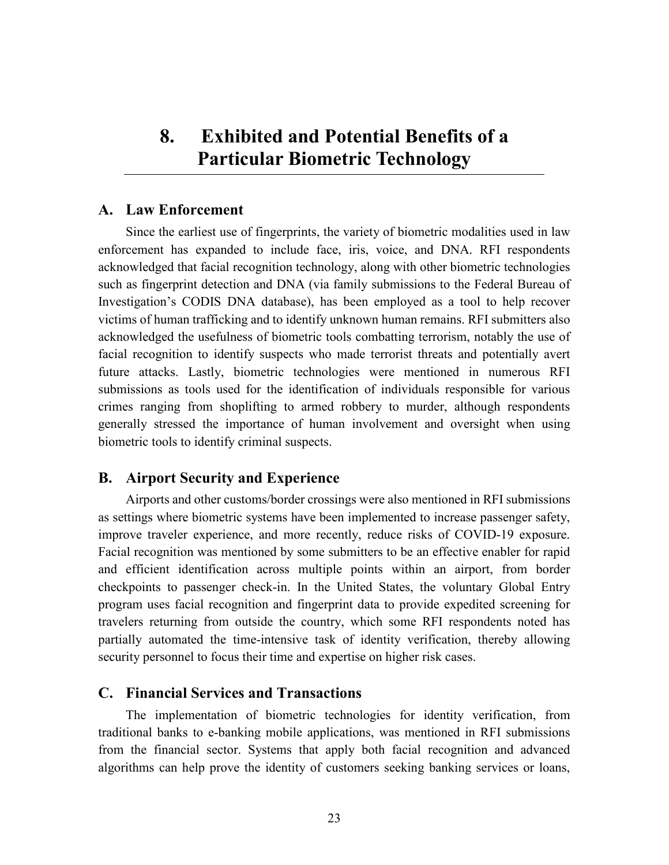## <span id="page-26-0"></span>**7. Exhibited and Potential Harms of a Particular Biometric Technology**

## <span id="page-26-1"></span>**A. Algorithmic Bias**

Numerous RFI respondents highlighted or expressed concerns for the exhibited and potential harms of biometric technologies at large, as well as for specific designs and use cases. Biometric technologies rely on extensive source data in order for algorithms to develop experience identifying patterns and making decisions based on those patterns; however, submitters to the Biometric RFI noted that limitations in the training datasets (image quality and sourcing, extensivity, representation of different demographic groups) and human-developed AI models can lead biometric algorithms to perpetuate discriminatory biases and harms. Across the spectrum of biometric technologies, but especially facial recognition technologies, respondents provided detailed information regarding the inconsistent performance of biometric algorithms for distinct application areas and demographic groups (including gender, race/skin color, age, and disability).

#### <span id="page-26-2"></span>**1. Gender Bias**

RFI respondents identified consistent inaccuracies and biases in facial recognition technologies for gender identification. One RFI submitter cited a 2018 study ("Gender Shades: Intersectional Accuracy Disparities in Commercial Gender Classification") on gender classification algorithms that found three commercial systems achieved greater accuracy on male faces compared to female faces, while performing worst on darkerskinned female faces.

Many Biometric RFI respondents noted that misidentifying and misgendering faces can cause serious harm. For example, one submission outlined how facial recognition is increasingly being integrated with clinical decision support systems to analyze patient biomedical data and provide treatment suggestions, but when women and trans people are underrepresented in training datasets, the AI algorithms can fail to account for special medical needs, resulting in decreased quality of patient care.

### <span id="page-26-3"></span>**2. Race and Skin Color Bias**

Many RFI respondents noted that systemic errors and failures arise when identifying non-White individuals. With facial recognition, respondents reported studies that revealed that Black and East Asian individuals are between 10 to 100 times more likely to be falsely identified compared to Caucasian faces, while false negative rates are highest for East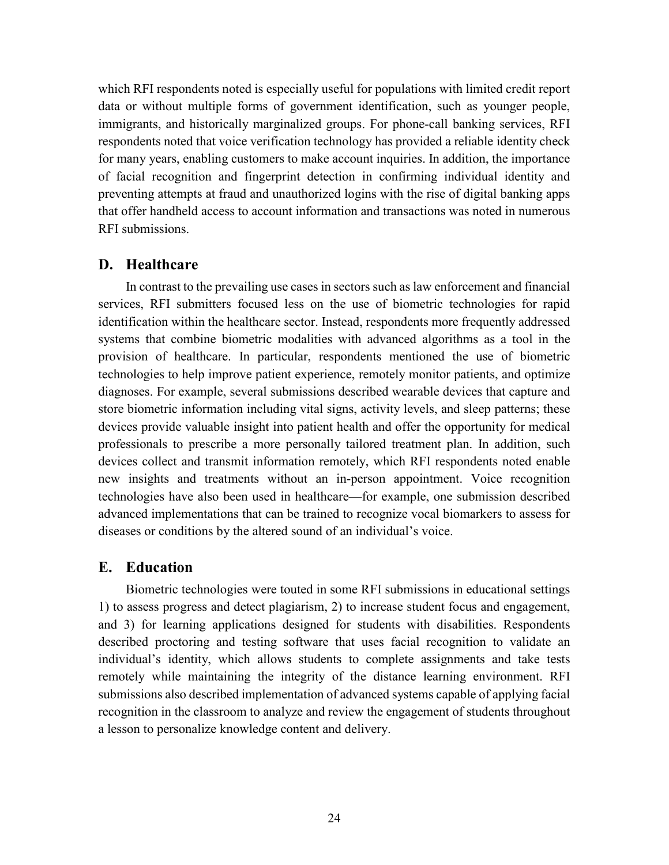Asian and Native American faces. RFI respondents also noted that voice recognition systems exhibit notable unreliability for certain accents.

Numerous respondents described how racial algorithmic biases contribute to real harm. In the law enforcement sector, many submissions described incidents of wrongful arrest and detainment due to false biometric identification. Furthermore, submissions widely acknowledged that the historical overrepresentation of Black people in arrest records and police databases, such as the Next Generation Identification system of biometric data, further contributes to inaccurate, racially-biased algorithmic predictions for criminal activity and recidivism.

#### <span id="page-27-0"></span>**3. Age Bias**

RFI respondents also noted that biometric technologies have displayed failures to identify individuals by age, both young and old. Submitters specifically noted 1) facial recognition algorithms exhibiting greater misidentification rates for children, 2) fingerprint technologies misreading prints for youth (whose fingerprints do not stabilize until adolescence), 3) difficulty using flat plate fingerprinting systems for people with arthritis, and 4) diminished accuracy in iris scans of individuals with cataracts. The application of facial recognition systems in educational settings sparked concern from numerous RFI respondents, who argued that the use of systems that are inaccurate for children can lead to wrongful disciplinary action, especially for children of color.

#### <span id="page-27-1"></span>**4. Disability Bias**

Multiple submissions pointed to the data and design failures for differences in facial expression, speech patterns, gestures, eye movement, and mobility that lead to misidentification, misuse, and resulting negative impacts on disabled populations. In the educational sector, respondents noted that this can lead to the misidentification of cheating on exams, where facial recognition systems fail to account for students with disabilities. In addition, several submitters expressed concern that companies using virtual hiring programs enabled by biometric systems may not be aware of the shortcomings of the technology; instead, hiring managers may take the algorithmic inferences at face value, including those that assign lower cognitive scores, job aptitude scores, and negative emotions to disabled candidates.

### <span id="page-27-2"></span>**B. Privacy and Security**

In addition to the widespread concerns among RFI submitters regarding unrepresentative data, inaccurate analyses, and biased decision making by biometric systems, another major category of harms identified by respondents revolves around issues of privacy and security. Under this umbrella are concerns with 1) data use and security, and 2) surveillance and privacy issues.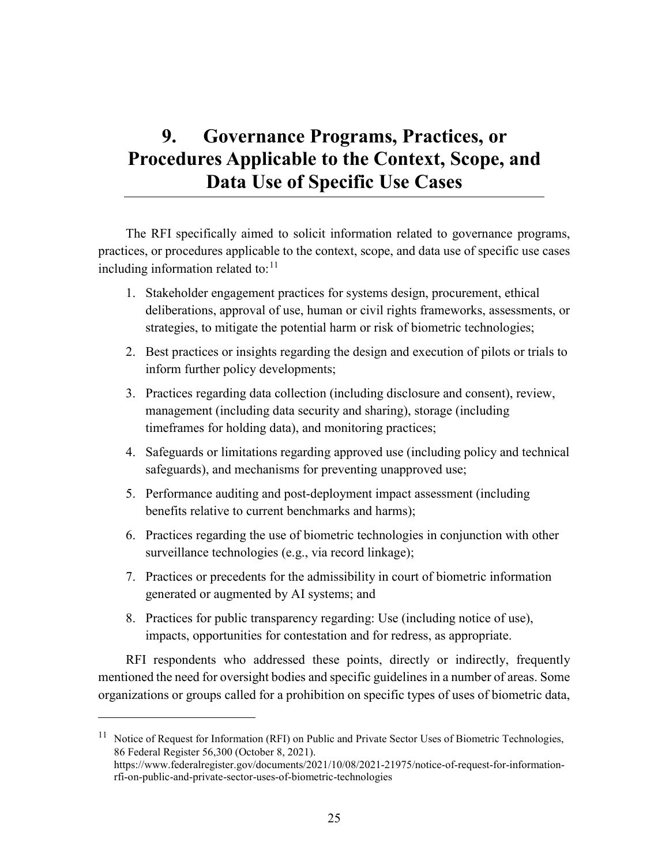#### <span id="page-28-0"></span>**1. Data Use and Security Harms**

Concerns reported by RFI respondents focus on the use and collection of potentially sensitive biometric data by institutions and corporations. With biometric technologies spanning many modalities (from facial images to DNA) and potential areas of application, many RFI respondents raised questions and concerns about data protection principles such as data minimization, purpose transparency, and general accountability. RFI submissions reflected a wider dispute about who should have visibility, control, and ownership of data captured by biometric systems. Biometric data collected without consent for AI model training, protected storage of personally sensitive data, or future sale to third parties were all concerns expressed widely in RFI submissions. As a specific example of the sensitive nature of biometric data noted in one submission, DNA can provide information on an individual's ancestry and phenotypic traits.

#### <span id="page-28-1"></span>**2. Surveillance and Privacy Harms**

 $\overline{a}$ 

Another persistent theme in RFI submissions revolved around the use of biometric systems for indiscriminate surveillance and its potential normalization. Many submissions noted that such surveillance violates constitutional protections as well as existing laws covering protected populations such as children. For personally identifiable information, respondents noted that the Privacy Act of  $1974^{10}$  $1974^{10}$  $1974^{10}$  limits the collection of this information by Federal agencies to cases where it is "legally authorized and necessary" and mandates protection of these data to prevent intrusions on privacy. However, in applications such as the use of biometric technologies in schools, several RFI respondents expressed concern that children may be desensitized to constant surveillance and monitoring by these systems, despite their young age and questions regarding their ability to consent.

<span id="page-28-2"></span><sup>10</sup> Privacy Act of 1974, 5 U.S.C. § 552a (1974): https://www.law.cornell.edu/uscode/text/5/552a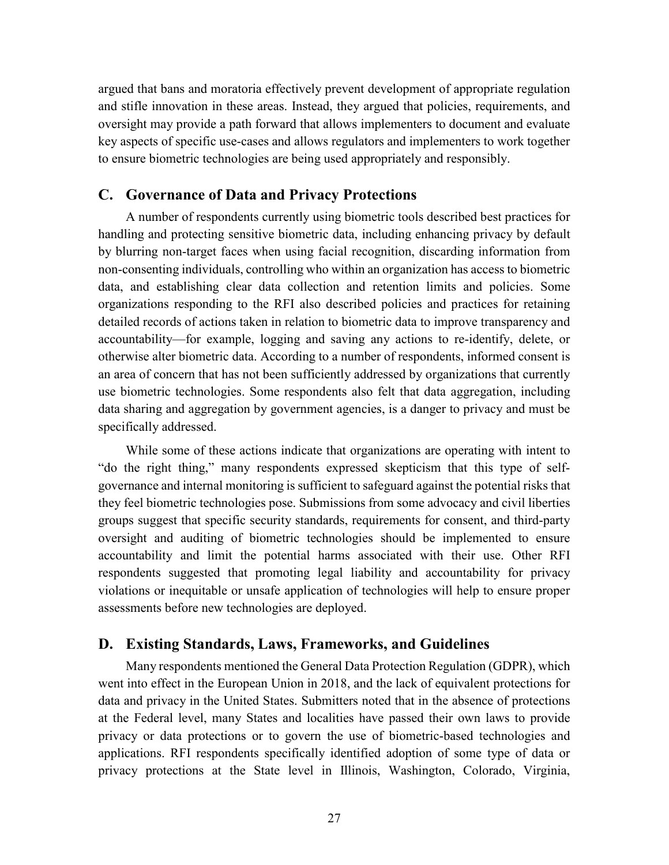## <span id="page-30-0"></span>**8. Exhibited and Potential Benefits of a Particular Biometric Technology**

## <span id="page-30-1"></span>**A. Law Enforcement**

Since the earliest use of fingerprints, the variety of biometric modalities used in law enforcement has expanded to include face, iris, voice, and DNA. RFI respondents acknowledged that facial recognition technology, along with other biometric technologies such as fingerprint detection and DNA (via family submissions to the Federal Bureau of Investigation's CODIS DNA database), has been employed as a tool to help recover victims of human trafficking and to identify unknown human remains. RFI submitters also acknowledged the usefulness of biometric tools combatting terrorism, notably the use of facial recognition to identify suspects who made terrorist threats and potentially avert future attacks. Lastly, biometric technologies were mentioned in numerous RFI submissions as tools used for the identification of individuals responsible for various crimes ranging from shoplifting to armed robbery to murder, although respondents generally stressed the importance of human involvement and oversight when using biometric tools to identify criminal suspects.

### <span id="page-30-2"></span>**B. Airport Security and Experience**

Airports and other customs/border crossings were also mentioned in RFI submissions as settings where biometric systems have been implemented to increase passenger safety, improve traveler experience, and more recently, reduce risks of COVID-19 exposure. Facial recognition was mentioned by some submitters to be an effective enabler for rapid and efficient identification across multiple points within an airport, from border checkpoints to passenger check-in. In the United States, the voluntary Global Entry program uses facial recognition and fingerprint data to provide expedited screening for travelers returning from outside the country, which some RFI respondents noted has partially automated the time-intensive task of identity verification, thereby allowing security personnel to focus their time and expertise on higher risk cases.

## <span id="page-30-3"></span>**C. Financial Services and Transactions**

The implementation of biometric technologies for identity verification, from traditional banks to e-banking mobile applications, was mentioned in RFI submissions from the financial sector. Systems that apply both facial recognition and advanced algorithms can help prove the identity of customers seeking banking services or loans,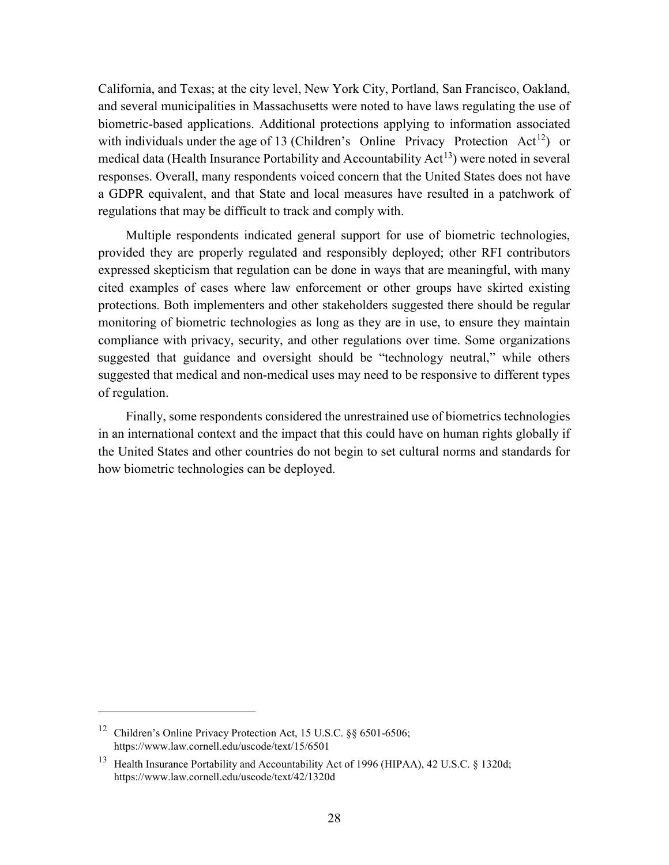which RFI respondents noted is especially useful for populations with limited credit report data or without multiple forms of government identification, such as younger people, immigrants, and historically marginalized groups. For phone-call banking services, RFI respondents noted that voice verification technology has provided a reliable identity check for many years, enabling customers to make account inquiries. In addition, the importance of facial recognition and fingerprint detection in confirming individual identity and preventing attempts at fraud and unauthorized logins with the rise of digital banking apps that offer handheld access to account information and transactions was noted in numerous RFI submissions.

## <span id="page-31-0"></span>**D. Healthcare**

In contrast to the prevailing use cases in sectors such as law enforcement and financial services, RFI submitters focused less on the use of biometric technologies for rapid identification within the healthcare sector. Instead, respondents more frequently addressed systems that combine biometric modalities with advanced algorithms as a tool in the provision of healthcare. In particular, respondents mentioned the use of biometric technologies to help improve patient experience, remotely monitor patients, and optimize diagnoses. For example, several submissions described wearable devices that capture and store biometric information including vital signs, activity levels, and sleep patterns; these devices provide valuable insight into patient health and offer the opportunity for medical professionals to prescribe a more personally tailored treatment plan. In addition, such devices collect and transmit information remotely, which RFI respondents noted enable new insights and treatments without an in-person appointment. Voice recognition technologies have also been used in healthcare—for example, one submission described advanced implementations that can be trained to recognize vocal biomarkers to assess for diseases or conditions by the altered sound of an individual's voice.

## <span id="page-31-1"></span>**E. Education**

Biometric technologies were touted in some RFI submissions in educational settings 1) to assess progress and detect plagiarism, 2) to increase student focus and engagement, and 3) for learning applications designed for students with disabilities. Respondents described proctoring and testing software that uses facial recognition to validate an individual's identity, which allows students to complete assignments and take tests remotely while maintaining the integrity of the distance learning environment. RFI submissions also described implementation of advanced systems capable of applying facial recognition in the classroom to analyze and review the engagement of students throughout a lesson to personalize knowledge content and delivery.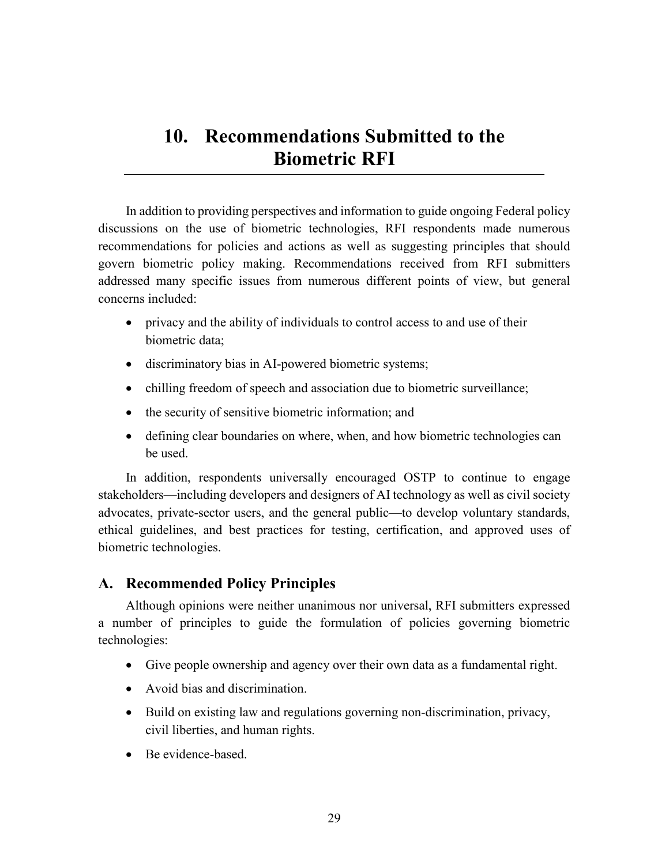# <span id="page-32-0"></span>**9. Governance Programs, Practices, or Procedures Applicable to the Context, Scope, and Data Use of Specific Use Cases**

The RFI specifically aimed to solicit information related to governance programs, practices, or procedures applicable to the context, scope, and data use of specific use cases including information related to:<sup>[11](#page-32-1)</sup>

- 1. Stakeholder engagement practices for systems design, procurement, ethical deliberations, approval of use, human or civil rights frameworks, assessments, or strategies, to mitigate the potential harm or risk of biometric technologies;
- 2. Best practices or insights regarding the design and execution of pilots or trials to inform further policy developments;
- 3. Practices regarding data collection (including disclosure and consent), review, management (including data security and sharing), storage (including timeframes for holding data), and monitoring practices;
- 4. Safeguards or limitations regarding approved use (including policy and technical safeguards), and mechanisms for preventing unapproved use;
- 5. Performance auditing and post-deployment impact assessment (including benefits relative to current benchmarks and harms);
- 6. Practices regarding the use of biometric technologies in conjunction with other surveillance technologies (e.g., via record linkage);
- 7. Practices or precedents for the admissibility in court of biometric information generated or augmented by AI systems; and
- 8. Practices for public transparency regarding: Use (including notice of use), impacts, opportunities for contestation and for redress, as appropriate.

RFI respondents who addressed these points, directly or indirectly, frequently mentioned the need for oversight bodies and specific guidelines in a number of areas. Some organizations or groups called for a prohibition on specific types of uses of biometric data,

 $\overline{a}$ 

<span id="page-32-1"></span><sup>&</sup>lt;sup>11</sup> Notice of Request for Information (RFI) on Public and Private Sector Uses of Biometric Technologies, 86 Federal Register 56,300 (October 8, 2021). https://www.federalregister.gov/documents/2021/10/08/2021-21975/notice-of-request-for-informationrfi-on-public-and-private-sector-uses-of-biometric-technologies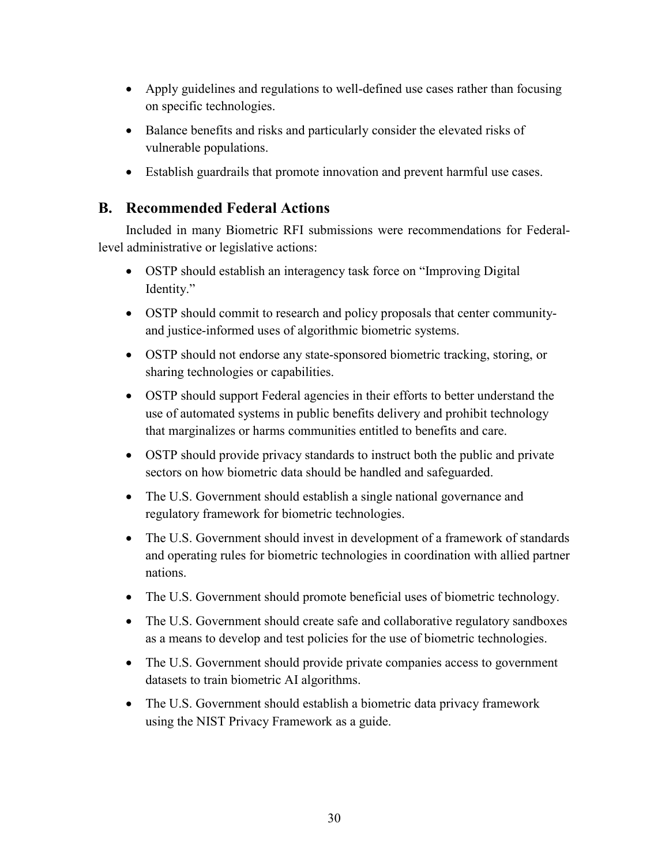while others volunteered that they declined to use biometric data for specific use cases where scientific support was lacking or where ethical challenges could potentially outstrip the benefits of use. Privacy laws at the international, State, and local levels were also mentioned by multiple respondents, with many emphasizing the need for legislation or guidance at the Federal level.

## <span id="page-33-0"></span>**A. Oversight Bodies or Guidelines**

Multiple respondents raised the need for guidelines regarding appropriate uses and use cases for biometric technologies and that such guidelines should include detailed information regarding management, retention, and maintenance of biometric data; unnecessary aggregation or retention of biometric data should be discouraged or prevented. Information regarding how human oversight should be integrated into the processes governing use of biometric technologies was mentioned in numerous RFI submissions. In addition, development of "regulatory sandboxes" to explore use-case feasibility in a safe environment was discussed by some respondents. The work being done by NIST to standardize and provide evaluation guidance was identified as valuable and helpful by many RFI submitters, although some specifically noted that NIST's work alone was insufficient to ensure safe and responsible use of biometric technologies.

A number of RFI respondents outlined practices they had voluntarily adopted to assess potential impacts, verify that benefits of specific use-cases outweighed potential risks, ensure privacy and accuracy, and prevent unapproved uses or applications of a particular product. Submissions addressing this subject varied extensively, with some organizations describing how they are attempting to specifically limit problematic or potentially high-risk aspects of biometric technologies, whereas others asked that no regulation, oversight, or auditing by third parties be imposed upon them. Regardless of whether RFI respondents expressed support for or opposition to stronger regulation and oversight, many requested that clear technical standards, guidelines, and oversight bodies should be developed and deployed to improve transparency, ensure that impact assessments are accurate, and hold institutions that employ biometric technologies accountable. The need for practices and oversight pertaining to use of biometric technologies in law enforcement were specifically mentioned by multiple respondents, as well as guidelines related to what types of biometric information should be admissible as evidence in legal proceedings.

## <span id="page-33-1"></span>**B. Prohibition of Specific Use Cases**

Numerous RFI responses advocated for prohibition of specific uses of biometric technologies—including mass surveillance, emotion detection, and social recommendations—because of the potential to perpetuate bias and injustice and a lack of scientific support for the accuracy of such biometric applications. Other respondents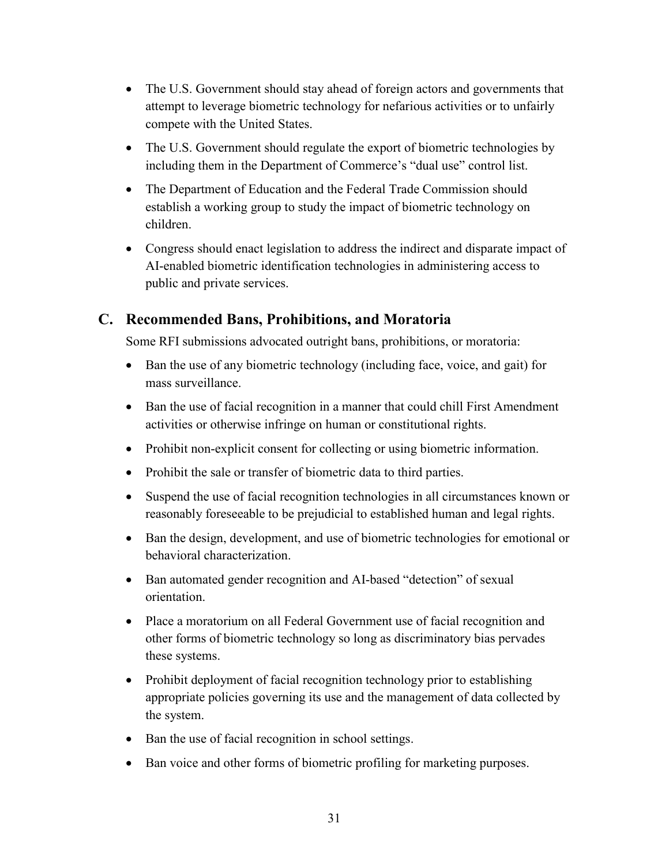argued that bans and moratoria effectively prevent development of appropriate regulation and stifle innovation in these areas. Instead, they argued that policies, requirements, and oversight may provide a path forward that allows implementers to document and evaluate key aspects of specific use-cases and allows regulators and implementers to work together to ensure biometric technologies are being used appropriately and responsibly.

## <span id="page-34-0"></span>**C. Governance of Data and Privacy Protections**

A number of respondents currently using biometric tools described best practices for handling and protecting sensitive biometric data, including enhancing privacy by default by blurring non-target faces when using facial recognition, discarding information from non-consenting individuals, controlling who within an organization has access to biometric data, and establishing clear data collection and retention limits and policies. Some organizations responding to the RFI also described policies and practices for retaining detailed records of actions taken in relation to biometric data to improve transparency and accountability—for example, logging and saving any actions to re-identify, delete, or otherwise alter biometric data. According to a number of respondents, informed consent is an area of concern that has not been sufficiently addressed by organizations that currently use biometric technologies. Some respondents also felt that data aggregation, including data sharing and aggregation by government agencies, is a danger to privacy and must be specifically addressed.

While some of these actions indicate that organizations are operating with intent to "do the right thing," many respondents expressed skepticism that this type of selfgovernance and internal monitoring is sufficient to safeguard against the potential risks that they feel biometric technologies pose. Submissions from some advocacy and civil liberties groups suggest that specific security standards, requirements for consent, and third-party oversight and auditing of biometric technologies should be implemented to ensure accountability and limit the potential harms associated with their use. Other RFI respondents suggested that promoting legal liability and accountability for privacy violations or inequitable or unsafe application of technologies will help to ensure proper assessments before new technologies are deployed.

## <span id="page-34-1"></span>**D. Existing Standards, Laws, Frameworks, and Guidelines**

Many respondents mentioned the General Data Protection Regulation (GDPR), which went into effect in the European Union in 2018, and the lack of equivalent protections for data and privacy in the United States. Submitters noted that in the absence of protections at the Federal level, many States and localities have passed their own laws to provide privacy or data protections or to govern the use of biometric-based technologies and applications. RFI respondents specifically identified adoption of some type of data or privacy protections at the State level in Illinois, Washington, Colorado, Virginia,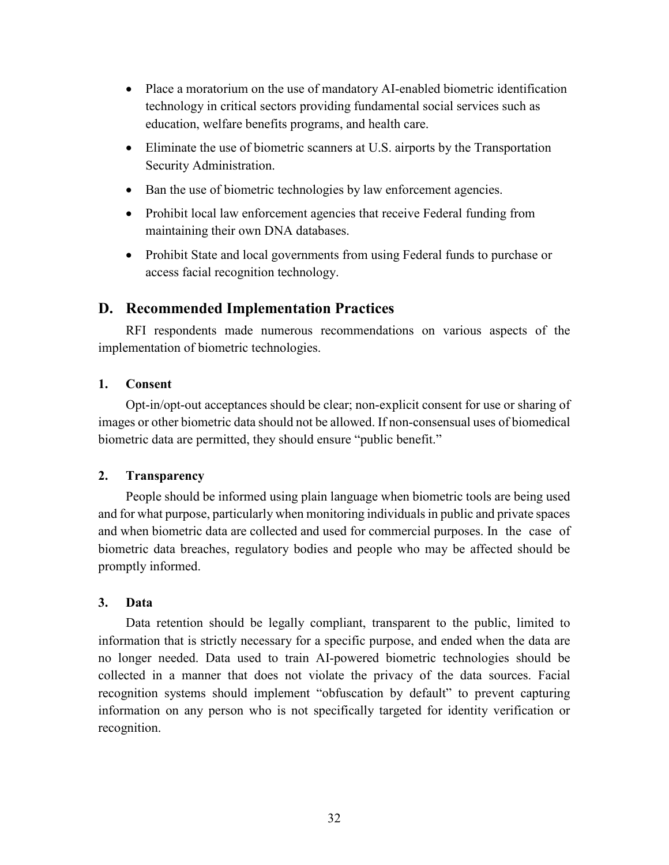California, and Texas; at the city level, New York City, Portland, San Francisco, Oakland, and several municipalities in Massachusetts were noted to have laws regulating the use of biometric-based applications. Additional protections applying to information associated with individuals under the age of 13 (Children's Online Privacy Protection  $Act^{12}$ ) or medical data (Health Insurance Portability and Accountability  $Act^{13}$  $Act^{13}$  $Act^{13}$ ) were noted in several responses. Overall, many respondents voiced concern that the United States does not have a GDPR equivalent, and that State and local measures have resulted in a patchwork of regulations that may be difficult to track and comply with.

Multiple respondents indicated general support for use of biometric technologies, provided they are properly regulated and responsibly deployed; other RFI contributors expressed skepticism that regulation can be done in ways that are meaningful, with many cited examples of cases where law enforcement or other groups have skirted existing protections. Both implementers and other stakeholders suggested there should be regular monitoring of biometric technologies as long as they are in use, to ensure they maintain compliance with privacy, security, and other regulations over time. Some organizations suggested that guidance and oversight should be "technology neutral," while others suggested that medical and non-medical uses may need to be responsive to different types of regulation.

Finally, some respondents considered the unrestrained use of biometrics technologies in an international context and the impact that this could have on human rights globally if the United States and other countries do not begin to set cultural norms and standards for how biometric technologies can be deployed.

 $\overline{a}$ 

<span id="page-35-0"></span><sup>&</sup>lt;sup>12</sup> Children's Online Privacy Protection Act, 15 U.S.C. §§ 6501-6506; https://www.law.cornell.edu/uscode/text/15/6501

<span id="page-35-1"></span><sup>&</sup>lt;sup>13</sup> Health Insurance Portability and Accountability Act of 1996 (HIPAA), 42 U.S.C. § 1320d; https://www.law.cornell.edu/uscode/text/42/1320d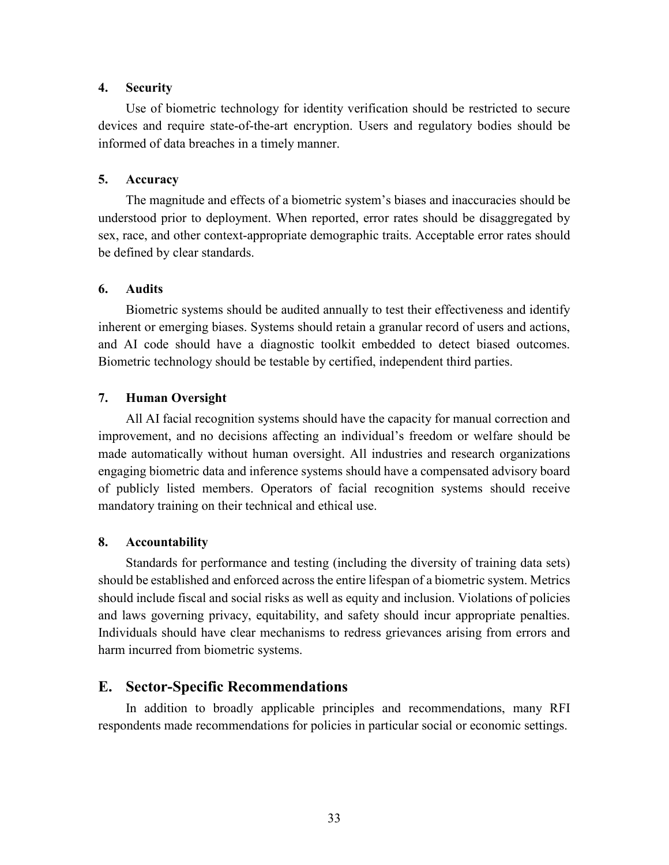# <span id="page-36-0"></span>**10. Recommendations Submitted to the Biometric RFI**

In addition to providing perspectives and information to guide ongoing Federal policy discussions on the use of biometric technologies, RFI respondents made numerous recommendations for policies and actions as well as suggesting principles that should govern biometric policy making. Recommendations received from RFI submitters addressed many specific issues from numerous different points of view, but general concerns included:

- privacy and the ability of individuals to control access to and use of their biometric data;
- discriminatory bias in AI-powered biometric systems;
- chilling freedom of speech and association due to biometric surveillance;
- the security of sensitive biometric information; and
- defining clear boundaries on where, when, and how biometric technologies can be used.

In addition, respondents universally encouraged OSTP to continue to engage stakeholders—including developers and designers of AI technology as well as civil society advocates, private-sector users, and the general public—to develop voluntary standards, ethical guidelines, and best practices for testing, certification, and approved uses of biometric technologies.

## <span id="page-36-1"></span>**A. Recommended Policy Principles**

Although opinions were neither unanimous nor universal, RFI submitters expressed a number of principles to guide the formulation of policies governing biometric technologies:

- Give people ownership and agency over their own data as a fundamental right.
- Avoid bias and discrimination.
- Build on existing law and regulations governing non-discrimination, privacy, civil liberties, and human rights.
- Be evidence-based.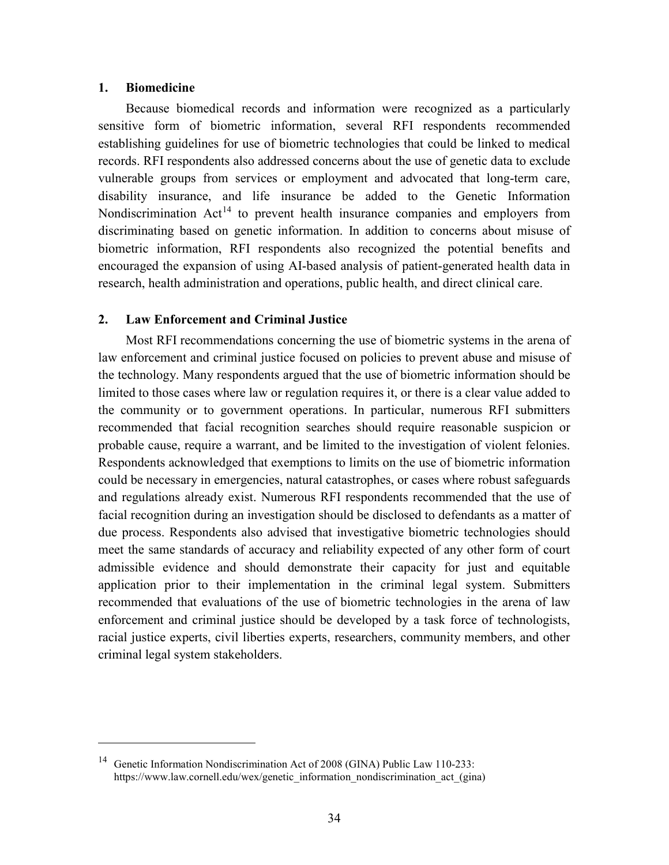- Apply guidelines and regulations to well-defined use cases rather than focusing on specific technologies.
- Balance benefits and risks and particularly consider the elevated risks of vulnerable populations.
- Establish guardrails that promote innovation and prevent harmful use cases.

## <span id="page-37-0"></span>**B. Recommended Federal Actions**

Included in many Biometric RFI submissions were recommendations for Federallevel administrative or legislative actions:

- OSTP should establish an interagency task force on "Improving Digital" Identity."
- OSTP should commit to research and policy proposals that center communityand justice-informed uses of algorithmic biometric systems.
- OSTP should not endorse any state-sponsored biometric tracking, storing, or sharing technologies or capabilities.
- OSTP should support Federal agencies in their efforts to better understand the use of automated systems in public benefits delivery and prohibit technology that marginalizes or harms communities entitled to benefits and care.
- OSTP should provide privacy standards to instruct both the public and private sectors on how biometric data should be handled and safeguarded.
- The U.S. Government should establish a single national governance and regulatory framework for biometric technologies.
- The U.S. Government should invest in development of a framework of standards and operating rules for biometric technologies in coordination with allied partner nations.
- The U.S. Government should promote beneficial uses of biometric technology.
- The U.S. Government should create safe and collaborative regulatory sandboxes as a means to develop and test policies for the use of biometric technologies.
- The U.S. Government should provide private companies access to government datasets to train biometric AI algorithms.
- The U.S. Government should establish a biometric data privacy framework using the NIST Privacy Framework as a guide.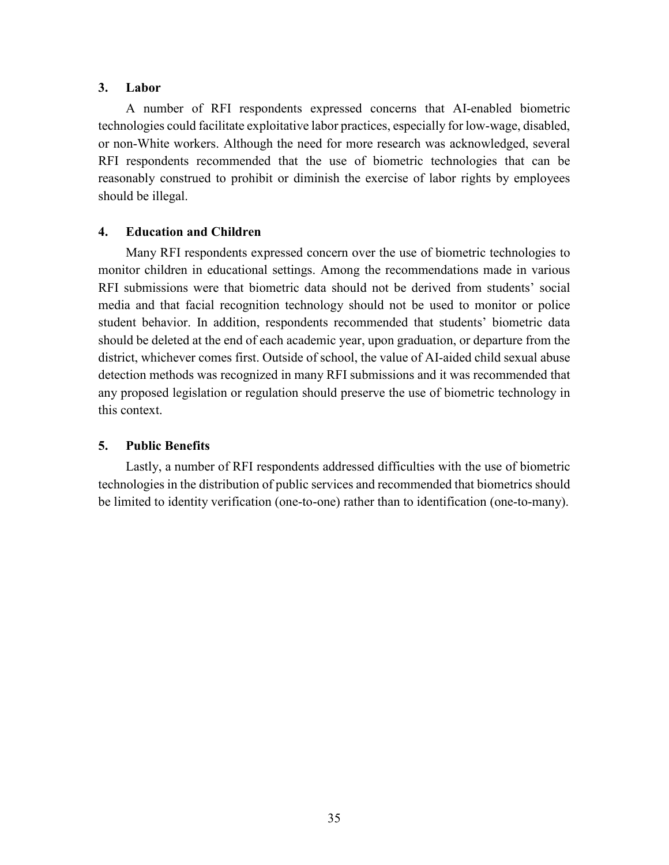- The U.S. Government should stay ahead of foreign actors and governments that attempt to leverage biometric technology for nefarious activities or to unfairly compete with the United States.
- The U.S. Government should regulate the export of biometric technologies by including them in the Department of Commerce's "dual use" control list.
- The Department of Education and the Federal Trade Commission should establish a working group to study the impact of biometric technology on children.
- Congress should enact legislation to address the indirect and disparate impact of AI-enabled biometric identification technologies in administering access to public and private services.

## <span id="page-38-0"></span>**C. Recommended Bans, Prohibitions, and Moratoria**

Some RFI submissions advocated outright bans, prohibitions, or moratoria:

- Ban the use of any biometric technology (including face, voice, and gait) for mass surveillance.
- Ban the use of facial recognition in a manner that could chill First Amendment activities or otherwise infringe on human or constitutional rights.
- Prohibit non-explicit consent for collecting or using biometric information.
- Prohibit the sale or transfer of biometric data to third parties.
- Suspend the use of facial recognition technologies in all circumstances known or reasonably foreseeable to be prejudicial to established human and legal rights.
- Ban the design, development, and use of biometric technologies for emotional or behavioral characterization.
- Ban automated gender recognition and AI-based "detection" of sexual orientation.
- Place a moratorium on all Federal Government use of facial recognition and other forms of biometric technology so long as discriminatory bias pervades these systems.
- Prohibit deployment of facial recognition technology prior to establishing appropriate policies governing its use and the management of data collected by the system.
- Ban the use of facial recognition in school settings.
- Ban voice and other forms of biometric profiling for marketing purposes.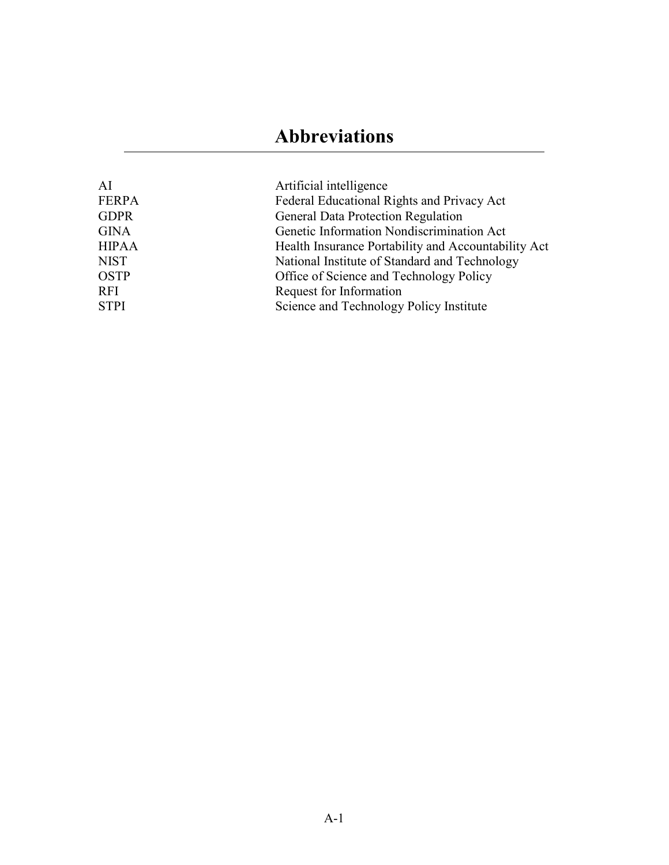- Place a moratorium on the use of mandatory AI-enabled biometric identification technology in critical sectors providing fundamental social services such as education, welfare benefits programs, and health care.
- Eliminate the use of biometric scanners at U.S. airports by the Transportation Security Administration.
- Ban the use of biometric technologies by law enforcement agencies.
- Prohibit local law enforcement agencies that receive Federal funding from maintaining their own DNA databases.
- Prohibit State and local governments from using Federal funds to purchase or access facial recognition technology.

## <span id="page-39-0"></span>**D. Recommended Implementation Practices**

RFI respondents made numerous recommendations on various aspects of the implementation of biometric technologies.

## <span id="page-39-1"></span>**1. Consent**

Opt-in/opt-out acceptances should be clear; non-explicit consent for use or sharing of images or other biometric data should not be allowed. If non-consensual uses of biomedical biometric data are permitted, they should ensure "public benefit."

## <span id="page-39-2"></span>**2. Transparency**

People should be informed using plain language when biometric tools are being used and for what purpose, particularly when monitoring individuals in public and private spaces and when biometric data are collected and used for commercial purposes. In the case of biometric data breaches, regulatory bodies and people who may be affected should be promptly informed.

## <span id="page-39-3"></span>**3. Data**

Data retention should be legally compliant, transparent to the public, limited to information that is strictly necessary for a specific purpose, and ended when the data are no longer needed. Data used to train AI-powered biometric technologies should be collected in a manner that does not violate the privacy of the data sources. Facial recognition systems should implement "obfuscation by default" to prevent capturing information on any person who is not specifically targeted for identity verification or recognition.